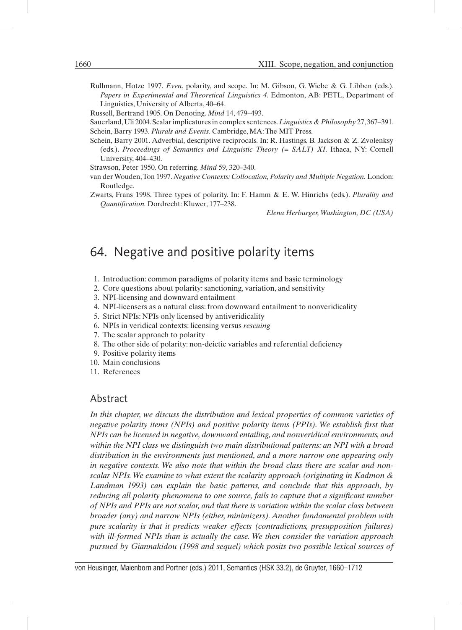Rullmann, Hotze 1997. *Even*, polarity, and scope. In: M. Gibson, G. Wiebe & G. Libben (eds.). *Papers in Experimental and Theoretical Linguistics 4*. Edmonton, AB: PETL, Department of Linguistics, University of Alberta, 40–64.

Russell, Bertrand 1905. On Denoting. *Mind* 14, 479–493.

Sauerland, Uli 2004. Scalar implicatures in complex sentences. *Linguistics & Philosophy* 27, 367–391. Schein, Barry 1993. *Plurals and Events*. Cambridge, MA: The MIT Press.

Schein, Barry 2001. Adverbial, descriptive reciprocals. In: R. Hastings, B. Jackson & Z. Zvolenksy (eds.). *Proceedings of Semantics and Linguistic Theory (= SALT) XI*. Ithaca, NY: Cornell University, 404–430.

Strawson, Peter 1950. On referring. *Mind* 59, 320–340.

- van der Wouden, Ton 1997. *Negative Contexts: Collocation, Polarity and Multiple Negation.* London: Routledge.
- Zwarts, Frans 1998. Three types of polarity. In: F. Hamm & E. W. Hinrichs (eds.). *Plurality and Quantifi cation.* Dordrecht: Kluwer, 177–238.

*Elena Herburger, Washington, DC (USA)*

# 64. Negative and positive polarity items

- 1. Introduction: common paradigms of polarity items and basic terminology
- 2. Core questions about polarity: sanctioning, variation, and sensitivity
- 3. NPI-licensing and downward entailment
- 4. NPI-licensers as a natural class: from downward entailment to nonveridicality
- 5. Strict NPIs: NPIs only licensed by antiveridicality
- 6. NPIs in veridical contexts: licensing versus *rescuing*
- 7. The scalar approach to polarity
- 8. The other side of polarity: non-deictic variables and referential deficiency
- 9. Positive polarity items
- 10. Main conclusions
- 11. References

## Abstract

*In this chapter, we discuss the distribution and lexical properties of common varieties of negative polarity items (NPIs) and positive polarity items (PPIs). We establish first that NPIs can be licensed in negative, downward entailing, and nonveridical environments, and within the NPI class we distinguish two main distributional patterns: an NPI with a broad distribution in the environments just mentioned, and a more narrow one appearing only in negative contexts. We also note that within the broad class there are scalar and nonscalar NPIs. We examine to what extent the scalarity approach (originating in Kadmon &*  Landman 1993) can explain the basic patterns, and conclude that this approach, by *reducing all polarity phenomena to one source, fails to capture that a significant number of NPIs and PPIs are not scalar, and that there is variation within the scalar class between broader (any) and narrow NPIs (either, minimizers). Another fundamental problem with pure scalarity is that it predicts weaker effects (contradictions, presupposition failures) with ill-formed NPIs than is actually the case. We then consider the variation approach pursued by Giannakidou (1998 and sequel) which posits two possible lexical sources of*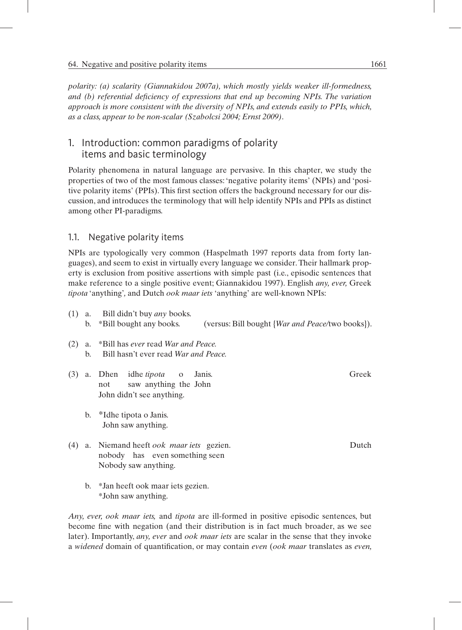*polarity: (a) scalarity (Giannakidou 2007a), which mostly yields weaker ill-formedness, and (b) referential deficiency of expressions that end up becoming NPIs. The variation approach is more consistent with the diversity of NPIs, and extends easily to PPIs, which, as a class, appear to be non-scalar (Szabolcsi 2004; Ernst 2009)*.

## 1. Introduction: common paradigms of polarity items and basic terminology

Polarity phenomena in natural language are pervasive. In this chapter, we study the properties of two of the most famous classes: 'negative polarity items' (NPIs) and 'positive polarity items' (PPIs). This first section offers the background necessary for our discussion, and introduces the terminology that will help identify NPIs and PPIs as distinct among other PI-paradigms.

## 1.1. Negative polarity items

NPIs are typologically very common (Haspelmath 1997 reports data from forty languages), and seem to exist in virtually every language we consider. Their hallmark property is exclusion from positive assertions with simple past (i.e., episodic sentences that make reference to a single positive event; Giannakidou 1997). English *any, ever,* Greek *tipota* 'anything'*,* and Dutch *ook maar iets* 'anything' are well-known NPIs:

- (1) a. Bill didn't buy *any* books. b. \*Bill bought any books. (versus: Bill bought {*War and Peace/*two books}).
- (2) a. \*Bill has *ever* read *War and Peace.* b. Bill hasn't ever read *War and Peace.*
- (3) a. Dhen idhe *tipota*o Janis. Greek not saw anything the John John didn't see anything.
	- b. \*Idhe tipota o Janis. John saw anything.
- (4) a. Niemand heeft *ook maar iets* gezien. Dutch nobody has even something seen Nobody saw anything.
	- b. \*Jan heeft ook maar iets gezien. \*John saw anything.

*Any, ever, ook maar iets,* and *tipota* are ill-formed in positive episodic sentences, but become fine with negation (and their distribution is in fact much broader, as we see later). Importantly, *any, ever* and *ook maar iets* are scalar in the sense that they invoke a *widened* domain of quantification, or may contain *even* (*ook maar* translates as *even*,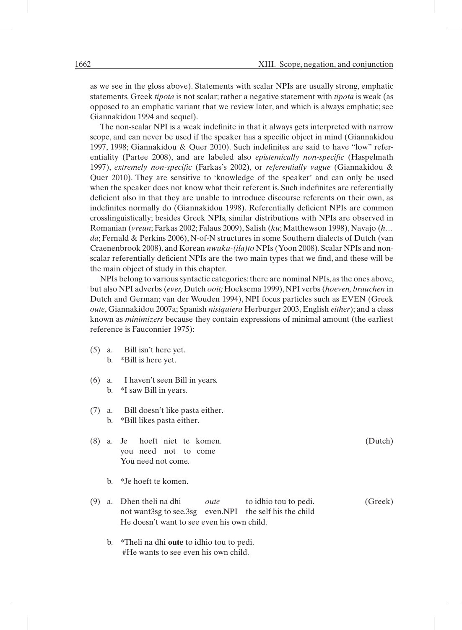as we see in the gloss above). Statements with scalar NPIs are usually strong, emphatic statements. Greek *tipota* is not scalar; rather a negative statement with *tipota* is weak (as opposed to an emphatic variant that we review later, and which is always emphatic; see Giannakidou 1994 and sequel).

The non-scalar NPI is a weak indefinite in that it always gets interpreted with narrow scope, and can never be used if the speaker has a specific object in mind (Giannakidou 1997, 1998; Giannakidou & Quer 2010). Such indefinites are said to have "low" referentiality (Partee 2008), and are labeled also *epistemically non-specifi c* (Haspelmath 1997), *extremely non-specifi c* (Farkas's 2002), or *referentially vague* (Giannakidou & Quer 2010). They are sensitive to 'knowledge of the speaker' and can only be used when the speaker does not know what their referent is. Such indefinites are referentially deficient also in that they are unable to introduce discourse referents on their own, as indefinites normally do (Giannakidou 1998). Referentially deficient NPIs are common crosslinguistically; besides Greek NPIs, similar distributions with NPIs are observed in Romanian (*vreun*; Farkas 2002; Falaus 2009), Salish (*ku*; Matthewson 1998), Navajo (*h… da*; Fernald & Perkins 2006), N-of-N structures in some Southern dialects of Dutch (van Craenenbrook 2008), and Korean *nwuku-(ila)to* NPIs (Yoon 2008). Scalar NPIs and nonscalar referentially deficient NPIs are the two main types that we find, and these will be the main object of study in this chapter.

NPIs belong to various syntactic categories: there are nominal NPIs, as the ones above, but also NPI adverbs (*ever,* Dutch *ooit;* Hoeksema 1999), NPI verbs (*hoeven, brauchen* in Dutch and German; van der Wouden 1994), NPI focus particles such as EVEN (Greek *oute*, Giannakidou 2007a; Spanish *nisiquiera* Herburger 2003, English *either*); and a class known as *minimizers* because they contain expressions of minimal amount (the earliest reference is Fauconnier 1975):

- (5) a. Bill isn't here yet. b. \*Bill is here yet.
- (6) a. I haven't seen Bill in years. b. \*I saw Bill in years.
- (7) a. Bill doesn't like pasta either. b. \*Bill likes pasta either.
- (8) a. Je hoeft niet te komen. (Dutch) you need not to come You need not come.
	- b. \*Je hoeft te komen.
- (9) a. Dhen theli na dhi *oute* to idhio tou to pedi. (Greek) not want3sg to see.3sg even.NPI the self his the child He doesn't want to see even his own child.
	- b. \*Theli na dhi **oute** to idhio tou to pedi. #He wants to see even his own child.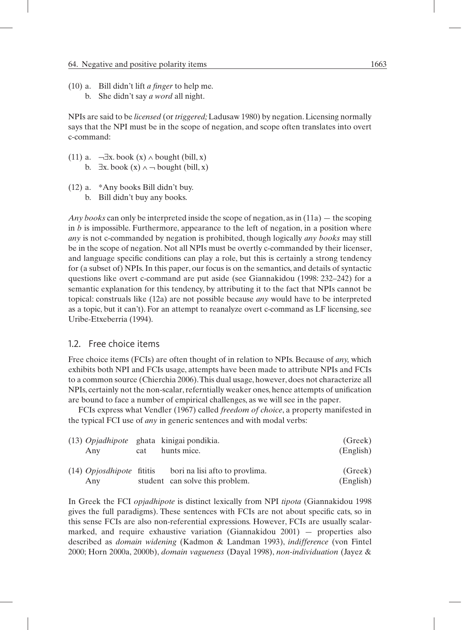- (10) a. Bill didn't lift *a finger* to help me.
	- b. She didn't say *a word* all night.

NPIs are said to be *licensed* (or *triggered;* Ladusaw 1980) by negation. Licensing normally says that the NPI must be in the scope of negation, and scope often translates into overt c-command:

- (11) a.  $\neg \exists x. \text{book}(x) \land \text{bought}(bill, x)$ b.  $\exists x.$  book  $(x) \land \neg$  bought (bill, x)
- (12) a. \*Any books Bill didn't buy.
	- b. Bill didn't buy any books.

*Any books* can only be interpreted inside the scope of negation, as in (11a) — the scoping in *b* is impossible. Furthermore, appearance to the left of negation, in a position where *any* is not c-commanded by negation is prohibited, though logically *any books* may still be in the scope of negation. Not all NPIs must be overtly c-commanded by their licenser, and language specific conditions can play a role, but this is certainly a strong tendency for (a subset of) NPIs. In this paper, our focus is on the semantics, and details of syntactic questions like overt c-command are put aside (see Giannakidou (1998: 232–242) for a semantic explanation for this tendency, by attributing it to the fact that NPIs cannot be topical: construals like (12a) are not possible because *any* would have to be interpreted as a topic, but it can't). For an attempt to reanalyze overt c-command as LF licensing, see Uribe-Etxeberria (1994).

### 1.2. Free choice items

Free choice items (FCIs) are often thought of in relation to NPIs. Because of *any,* which exhibits both NPI and FCIs usage, attempts have been made to attribute NPIs and FCIs to a common source (Chierchia 2006). This dual usage, however, does not characterize all NPIs, certainly not the non-scalar, referntially weaker ones, hence attempts of unification are bound to face a number of empirical challenges, as we will see in the paper.

FCIs express what Vendler (1967) called *freedom of choice*, a property manifested in the typical FCI use of *any* in generic sentences and with modal verbs:

|     | (13) Opjadhipote ghata kinigai pondikia.                          | (Greek)   |
|-----|-------------------------------------------------------------------|-----------|
| Any | cat hunts mice.                                                   | (English) |
|     | $(14)$ <i>Opjosdhipote</i> fititis bori na lisi afto to provlima. | (Greek)   |
| Anv | student can solve this problem.                                   | (English) |

In Greek the FCI *opjadhipote* is distinct lexically from NPI *tipota* (Giannakidou 1998 gives the full paradigms). These sentences with FCIs are not about specific cats, so in this sense FCIs are also non-referential expressions. However, FCIs are usually scalarmarked, and require exhaustive variation (Giannakidou 2001) — properties also described as *domain widening* (Kadmon & Landman 1993), *indifference* (von Fintel 2000; Horn 2000a, 2000b), *domain vagueness* (Dayal 1998), *non-individuation* (Jayez &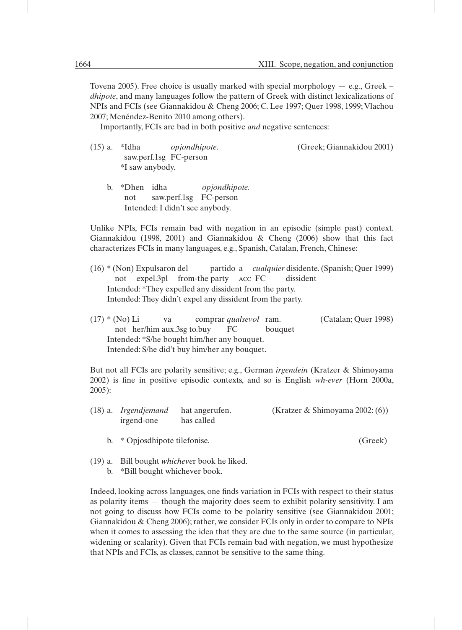Tovena 2005). Free choice is usually marked with special morphology — e.g., Greek – *dhipote*, and many languages follow the pattern of Greek with distinct lexicalizations of NPIs and FCIs (see Giannakidou & Cheng 2006; C. Lee 1997; Quer 1998, 1999; Vlachou 2007; Menéndez-Benito 2010 among others).

Importantly, FCIs are bad in both positive *and* negative sentences:

- (15) a. \*Idha *opjondhipote*. (Greek; Giannakidou 2001) saw.perf.1sg FC-person \*I saw anybody.
	- b. \*Dhen idha *opjondhipote.* not saw.perf.1sg FC-person Intended: I didn't see anybody.

Unlike NPIs, FCIs remain bad with negation in an episodic (simple past) context. Giannakidou (1998, 2001) and Giannakidou & Cheng (2006) show that this fact characterizes FCIs in many languages, e.g., Spanish, Catalan, French, Chinese:

- (16) \* (Non) Expulsaron del partido a *cualquier* disidente. (Spanish; Quer 1999) not expel.3pl from-the party acc FC dissident Intended: \*They expelled any dissident from the party. Intended: They didn't expel any dissident from the party.
- (17) \* (No) Li va comprar *qualsevol*ram. (Catalan; Quer 1998) not her/him aux.3sg to.buy FC bouquet Intended: \*S/he bought him/her any bouquet. Intended: S/he did't buy him/her any bouquet.

But not all FCIs are polarity sensitive; e.g., German *irgendein* (Kratzer & Shimoyama 2002) is fine in positive episodic contexts, and so is English *wh-ever* (Horn 2000a, 2005):

- (18) a. *Irgendjemand* hat angerufen. (Kratzer & Shimoyama 2002: (6)) irgend-one has called
	- b. \* Opjosdhipote tilefonise. (Greek)
- (19) a. Bill bought *whicheve*r book he liked. b. \*Bill bought whichever book.

Indeed, looking across languages, one finds variation in FCIs with respect to their status as polarity items — though the majority does seem to exhibit polarity sensitivity. I am not going to discuss how FCIs come to be polarity sensitive (see Giannakidou 2001; Giannakidou & Cheng 2006); rather, we consider FCIs only in order to compare to NPIs when it comes to assessing the idea that they are due to the same source (in particular, widening or scalarity). Given that FCIs remain bad with negation, we must hypothesize that NPIs and FCIs, as classes, cannot be sensitive to the same thing.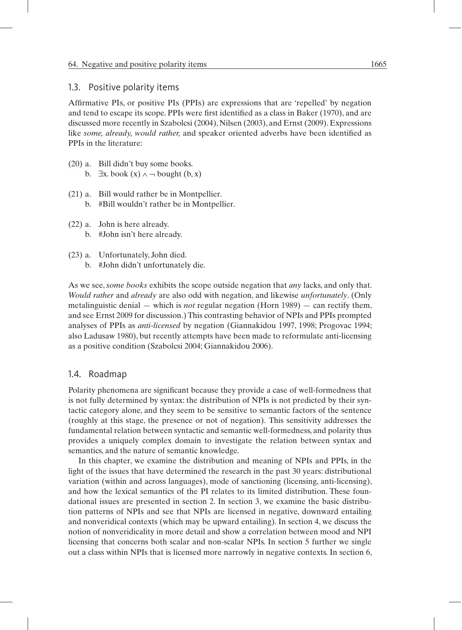### 1.3. Positive polarity items

Affirmative PIs, or positive PIs (PPIs) are expressions that are 'repelled' by negation and tend to escape its scope. PPIs were first identified as a class in Baker (1970), and are discussed more recently in Szabolcsi (2004), Nilsen (2003), and Ernst (2009). Expressions like *some, already, would rather*, and speaker oriented adverbs have been identified as PPIs in the literature:

- (20) a. Bill didn't buy some books. b.  $\exists x.$  book  $(x) \land \neg$  bought  $(b, x)$
- (21) a. Bill would rather be in Montpellier. b. #Bill wouldn't rather be in Montpellier.
- (22) a. John is here already. b. #John isn't here already.
- (23) a. Unfortunately, John died.
	- b. #John didn't unfortunately die.

As we see, *some books* exhibits the scope outside negation that *any* lacks, and only that. *Would rather* and *already* are also odd with negation, and likewise *unfortunately*. (Only metalinguistic denial — which is *not* regular negation (Horn 1989) — can rectify them, and see Ernst 2009 for discussion.) This contrasting behavior of NPIs and PPIs prompted analyses of PPIs as *anti-licensed* by negation (Giannakidou 1997, 1998; Progovac 1994; also Ladusaw 1980), but recently attempts have been made to reformulate anti-licensing as a positive condition (Szabolcsi 2004; Giannakidou 2006).

### 1.4. Roadmap

Polarity phenomena are significant because they provide a case of well-formedness that is not fully determined by syntax: the distribution of NPIs is not predicted by their syntactic category alone, and they seem to be sensitive to semantic factors of the sentence (roughly at this stage, the presence or not of negation). This sensitivity addresses the fundamental relation between syntactic and semantic well-formedness, and polarity thus provides a uniquely complex domain to investigate the relation between syntax and semantics, and the nature of semantic knowledge.

In this chapter, we examine the distribution and meaning of NPIs and PPIs, in the light of the issues that have determined the research in the past 30 years: distributional variation (within and across languages), mode of sanctioning (licensing, anti-licensing), and how the lexical semantics of the PI relates to its limited distribution. These foundational issues are presented in section 2. In section 3, we examine the basic distribution patterns of NPIs and see that NPIs are licensed in negative, downward entailing and nonveridical contexts (which may be upward entailing). In section 4, we discuss the notion of nonveridicality in more detail and show a correlation between mood and NPI licensing that concerns both scalar and non-scalar NPIs. In section 5 further we single out a class within NPIs that is licensed more narrowly in negative contexts. In section 6,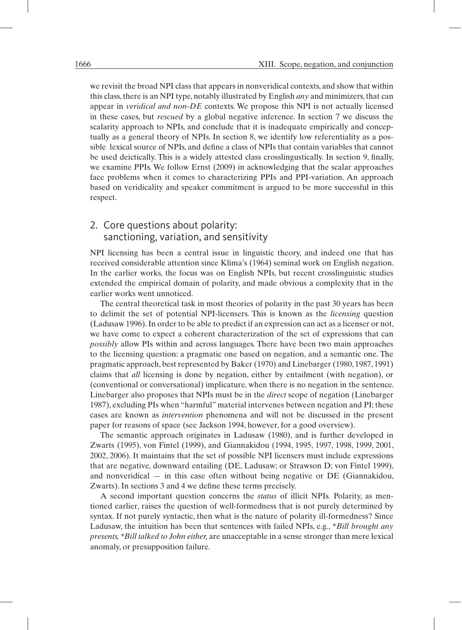we revisit the broad NPI class that appears in nonveridical contexts, and show that within this class, there is an NPI type, notably illustrated by English *any* and minimizers, that can appear in *veridical and non-DE* contexts. We propose this NPI is not actually licensed in these cases, but *rescued* by a global negative inference. In section 7 we discuss the scalarity approach to NPIs, and conclude that it is inadequate empirically and conceptually as a general theory of NPIs. In section 8, we identify low referentiality as a possible lexical source of NPIs, and define a class of NPIs that contain variables that cannot be used deictically. This is a widely attested class crosslingustically. In section 9, finally, we examine PPIs. We follow Ernst (2009) in acknowledging that the scalar approaches face problems when it comes to characterizing PPIs and PPI-variation. An approach based on veridicality and speaker commitment is argued to be more successful in this respect.

## 2. Core questions about polarity: sanctioning, variation, and sensitivity

NPI licensing has been a central issue in linguistic theory, and indeed one that has received considerable attention since Klima's (1964) seminal work on English negation. In the earlier works, the focus was on English NPIs, but recent crosslinguistic studies extended the empirical domain of polarity, and made obvious a complexity that in the earlier works went unnoticed.

The central theoretical task in most theories of polarity in the past 30 years has been to delimit the set of potential NPI-licensers. This is known as the *licensing* question (Ladusaw 1996). In order to be able to predict if an expression can act as a licenser or not, we have come to expect a coherent characterization of the set of expressions that can *possibly* allow PIs within and across languages. There have been two main approaches to the licensing question: a pragmatic one based on negation, and a semantic one. The pragmatic approach, best represented by Baker (1970) and Linebarger (1980, 1987, 1991) claims that *all* licensing is done by negation, either by entailment (with negation), or (conventional or conversational) implicature, when there is no negation in the sentence. Linebarger also proposes that NPIs must be in the *direct* scope of negation (Linebarger 1987), excluding PIs when "harmful" material intervenes between negation and PI; these cases are known as *intervention* phenomena and will not be discussed in the present paper for reasons of space (see Jackson 1994, however, for a good overview).

The semantic approach originates in Ladusaw (1980), and is further developed in Zwarts (1995), von Fintel (1999), and Giannakidou (1994, 1995, 1997, 1998, 1999, 2001, 2002, 2006). It maintains that the set of possible NPI licensers must include expressions that are negative, downward entailing (DE, Ladusaw; or Strawson D; von Fintel 1999), and nonveridical  $-$  in this case often without being negative or DE (Giannakidou, Zwarts). In sections 3 and 4 we define these terms precisely.

A second important question concerns the *status* of illicit NPIs*.* Polarity, as mentioned earlier, raises the question of well-formedness that is not purely determined by syntax. If not purely syntactic, then what is the nature of polarity ill-formedness? Since Ladusaw, the intuition has been that sentences with failed NPIs, e.g., \**Bill brought any presents, \*Bill talked to John either,* are unacceptable in a sense stronger than mere lexical anomaly, or presupposition failure.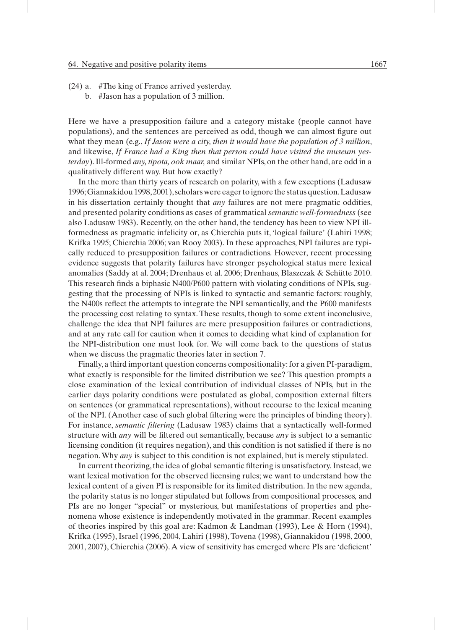- (24) a. #The king of France arrived yesterday.
	- b. #Jason has a population of 3 million.

Here we have a presupposition failure and a category mistake (people cannot have populations), and the sentences are perceived as odd, though we can almost figure out what they mean (e.g., *If Jason were a city, then it would have the population of 3 million*, and likewise, *If France had a King then that person could have visited the museum yesterday*). Ill-formed *any, tipota, ook maar,* and similar NPIs, on the other hand, are odd in a qualitatively different way. But how exactly?

In the more than thirty years of research on polarity, with a few exceptions (Ladusaw 1996; Giannakidou 1998, 2001), scholars were eager to ignore the status question. Ladusaw in his dissertation certainly thought that *any* failures are not mere pragmatic oddities, and presented polarity conditions as cases of grammatical *semantic well-formedness* (see also Ladusaw 1983). Recently, on the other hand, the tendency has been to view NPI illformedness as pragmatic infelicity or, as Chierchia puts it, 'logical failure' (Lahiri 1998; Krifka 1995; Chierchia 2006; van Rooy 2003). In these approaches, NPI failures are typically reduced to presupposition failures or contradictions. However, recent processing evidence suggests that polarity failures have stronger psychological status mere lexical anomalies (Saddy at al. 2004; Drenhaus et al. 2006; Drenhaus, Blaszczak & Schütte 2010. This research finds a biphasic N400/P600 pattern with violating conditions of NPIs, suggesting that the processing of NPIs is linked to syntactic and semantic factors: roughly, the N400s reflect the attempts to integrate the NPI semantically, and the P600 manifests the processing cost relating to syntax. These results, though to some extent inconclusive, challenge the idea that NPI failures are mere presupposition failures or contradictions, and at any rate call for caution when it comes to deciding what kind of explanation for the NPI-distribution one must look for. We will come back to the questions of status when we discuss the pragmatic theories later in section 7.

Finally, a third important question concerns compositionality: for a given PI-paradigm, what exactly is responsible for the limited distribution we see? This question prompts a close examination of the lexical contribution of individual classes of NPIs, but in the earlier days polarity conditions were postulated as global, composition external filters on sentences (or grammatical representations), without recourse to the lexical meaning of the NPI. (Another case of such global filtering were the principles of binding theory). For instance, *semantic filtering* (Ladusaw 1983) claims that a syntactically well-formed structure with *any* will be filtered out semantically, because *any* is subject to a semantic licensing condition (it requires negation), and this condition is not satisfied if there is no negation. Why *any* is subject to this condition is not explained, but is merely stipulated.

In current theorizing, the idea of global semantic filtering is unsatisfactory. Instead, we want lexical motivation for the observed licensing rules; we want to understand how the lexical content of a given PI is responsible for its limited distribution. In the new agenda, the polarity status is no longer stipulated but follows from compositional processes*,* and PIs are no longer "special" or mysterious, but manifestations of properties and phenomena whose existence is independently motivated in the grammar. Recent examples of theories inspired by this goal are: Kadmon & Landman (1993), Lee & Horn (1994), Krifka (1995), Israel (1996, 2004, Lahiri (1998), Tovena (1998), Giannakidou (1998, 2000, 2001, 2007), Chierchia (2006). A view of sensitivity has emerged where PIs are 'deficient'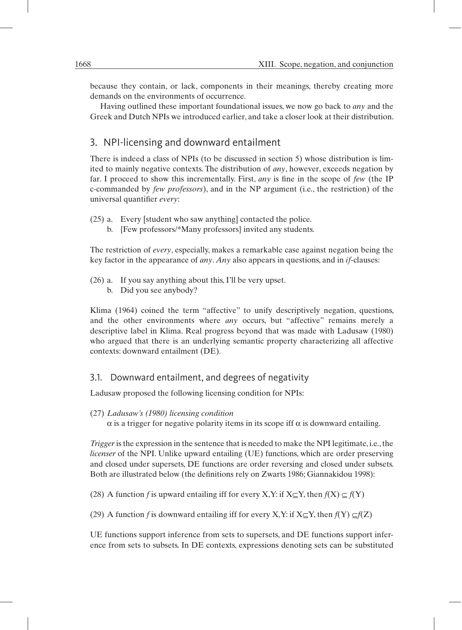because they contain, or lack, components in their meanings, thereby creating more demands on the environments of occurrence.

Having outlined these important foundational issues, we now go back to *any* and the Greek and Dutch NPIs we introduced earlier, and take a closer look at their distribution.

## 3. NPI-licensing and downward entailment

There is indeed a class of NPIs (to be discussed in section 5) whose distribution is limited to mainly negative contexts. The distribution of *any*, however, exceeds negation by far. I proceed to show this incrementally. First, *any* is fine in the scope of *few* (the IP c-commanded by *few professors*), and in the NP argument (i.e., the restriction) of the universal quantifier *every*:

- (25) a. Every [student who saw anything] contacted the police.
	- b. {Few professors/\*Many professors} invited any students.

The restriction of *every*, especially, makes a remarkable case against negation being the key factor in the appearance of *any*. *Any* also appears in questions, and in *if*-clauses:

- (26) a. If you say anything about this, I'll be very upset.
	- b. Did you see anybody?

Klima (1964) coined the term "affective" to unify descriptively negation, questions, and the other environments where *any* occurs, but "affective" remains merely a descriptive label in Klima. Real progress beyond that was made with Ladusaw (1980) who argued that there is an underlying semantic property characterizing all affective contexts: downward entailment (DE).

## 3.1. Downward entailment, and degrees of negativity

Ladusaw proposed the following licensing condition for NPIs:

#### (27) *Ladusaw's (1980) licensing condition*

 $\alpha$  is a trigger for negative polarity items in its scope iff  $\alpha$  is downward entailing.

*Trigger* is the expression in the sentence that is needed to make the NPI legitimate, i.e., the *licenser* of the NPI. Unlike upward entailing (UE) functions, which are order preserving and closed under supersets, DE functions are order reversing and closed under subsets. Both are illustrated below (the definitions rely on Zwarts 1986; Giannakidou 1998):

(28) A function *f* is upward entailing iff for every X,Y: if  $X \subseteq Y$ , then  $f(X) \subseteq f(Y)$ 

(29) A function *f* is downward entailing iff for every X,Y: if X⊆Y, then *f*(Y) ⊆*f*(Z)

UE functions support inference from sets to supersets, and DE functions support inference from sets to subsets. In DE contexts, expressions denoting sets can be substituted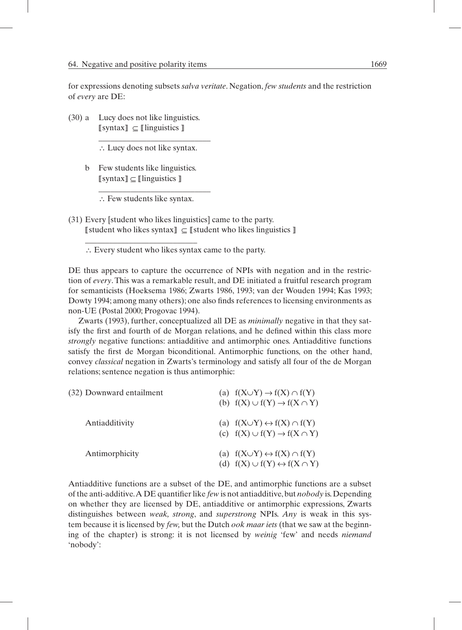for expressions denoting subsets *salva veritate*. Negation, *few students* and the restriction of *every* are DE:

(30) a Lucy does not like linguistics. ࢬ linguisticsࢫ⊇ࢬsyntaxࢫ

∴ Lucy does not like syntax.

 b Few students like linguistics.  $\llbracket$  syntax $\rrbracket \subseteq \llbracket$  linguistics  $\rrbracket$  $\frac{1}{\sqrt{2}}$  ,  $\frac{1}{\sqrt{2}}$  ,  $\frac{1}{\sqrt{2}}$  ,  $\frac{1}{\sqrt{2}}$  ,  $\frac{1}{\sqrt{2}}$  ,  $\frac{1}{\sqrt{2}}$  ,  $\frac{1}{\sqrt{2}}$  ,  $\frac{1}{\sqrt{2}}$  ,  $\frac{1}{\sqrt{2}}$  ,  $\frac{1}{\sqrt{2}}$  ,  $\frac{1}{\sqrt{2}}$  ,  $\frac{1}{\sqrt{2}}$  ,  $\frac{1}{\sqrt{2}}$  ,  $\frac{1}{\sqrt{2}}$  ,  $\frac{1}{\sqrt{2}}$ 

 $\overline{\phantom{a}}$  ,  $\overline{\phantom{a}}$  ,  $\overline{\phantom{a}}$  ,  $\overline{\phantom{a}}$  ,  $\overline{\phantom{a}}$  ,  $\overline{\phantom{a}}$  ,  $\overline{\phantom{a}}$  ,  $\overline{\phantom{a}}$  ,  $\overline{\phantom{a}}$  ,  $\overline{\phantom{a}}$  ,  $\overline{\phantom{a}}$  ,  $\overline{\phantom{a}}$  ,  $\overline{\phantom{a}}$  ,  $\overline{\phantom{a}}$  ,  $\overline{\phantom{a}}$  ,  $\overline{\phantom{a}}$ 

 $\frac{1}{\sqrt{2}}$  ,  $\frac{1}{\sqrt{2}}$  ,  $\frac{1}{\sqrt{2}}$  ,  $\frac{1}{\sqrt{2}}$  ,  $\frac{1}{\sqrt{2}}$  ,  $\frac{1}{\sqrt{2}}$  ,  $\frac{1}{\sqrt{2}}$  ,  $\frac{1}{\sqrt{2}}$  ,  $\frac{1}{\sqrt{2}}$  ,  $\frac{1}{\sqrt{2}}$  ,  $\frac{1}{\sqrt{2}}$  ,  $\frac{1}{\sqrt{2}}$  ,  $\frac{1}{\sqrt{2}}$  ,  $\frac{1}{\sqrt{2}}$  ,  $\frac{1}{\sqrt{2}}$ 

∴ Few students like syntax.

(31) Every [student who likes linguistics] came to the party. **[student who likes syntax]**  $\subseteq$  [student who likes linguistics ]

∴ Every student who likes syntax came to the party.

DE thus appears to capture the occurrence of NPIs with negation and in the restriction of *every*. This was a remarkable result, and DE initiated a fruitful research program for semanticists (Hoeksema 1986; Zwarts 1986, 1993; van der Wouden 1994; Kas 1993; Dowty 1994; among many others); one also finds references to licensing environments as non-UE (Postal 2000; Progovac 1994).

Zwarts (1993), further, conceptualized all DE as *minimally* negative in that they satisfy the first and fourth of de Morgan relations, and he defined within this class more *strongly* negative functions: antiadditive and antimorphic ones. Antiadditive functions satisfy the first de Morgan biconditional. Antimorphic functions, on the other hand, convey *classical* negation in Zwarts's terminology and satisfy all four of the de Morgan relations; sentence negation is thus antimorphic:

| (32) Downward entailment | (a) $f(X \cup Y) \rightarrow f(X) \cap f(Y)$<br>(b) $f(X) \cup f(Y) \rightarrow f(X \cap Y)$         |
|--------------------------|------------------------------------------------------------------------------------------------------|
| Antiadditivity           | (a) $f(X \cup Y) \leftrightarrow f(X) \cap f(Y)$<br>(c) $f(X) \cup f(Y) \rightarrow f(X \cap Y)$     |
| Antimorphicity           | (a) $f(X \cup Y) \leftrightarrow f(X) \cap f(Y)$<br>(d) $f(X) \cup f(Y) \leftrightarrow f(X \cap Y)$ |

Antiadditive functions are a subset of the DE, and antimorphic functions are a subset of the anti-additive. A DE quantifier like *few* is not antiadditive, but *nobody* is. Depending on whether they are licensed by DE, antiadditive or antimorphic expressions, Zwarts distinguishes between *weak, strong*, and *superstrong* NPIs. *Any* is weak in this system because it is licensed by *few,* but the Dutch *ook maar iets* (that we saw at the beginning of the chapter) is strong: it is not licensed by *weinig* 'few' and needs *niemand*  'nobody':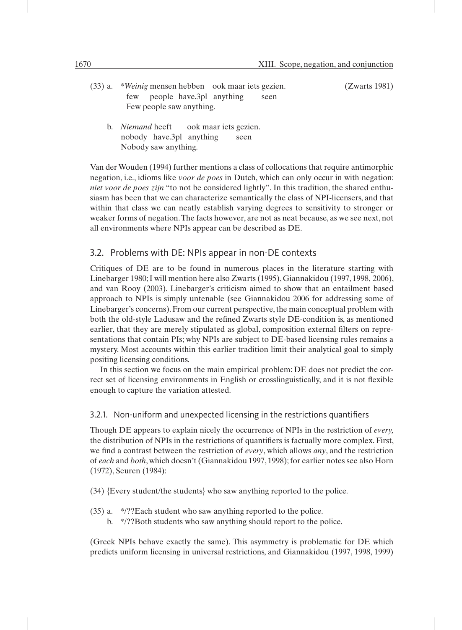- (33) a. \**Weinig* mensen hebben ook maar iets gezien. (Zwarts 1981) few people have.3pl anything seen Few people saw anything.
	- b. *Niemand* heeft ook maar iets gezien. nobody have.3pl anything seen Nobody saw anything.

Van der Wouden (1994) further mentions a class of collocations that require antimorphic negation, i.e., idioms like *voor de poes* in Dutch, which can only occur in with negation: *niet voor de poes zijn* "to not be considered lightly". In this tradition, the shared enthusiasm has been that we can characterize semantically the class of NPI-licensers, and that within that class we can neatly establish varying degrees to sensitivity to stronger or weaker forms of negation. The facts however, are not as neat because, as we see next, not all environments where NPIs appear can be described as DE.

## 3.2. Problems with DE: NPIs appear in non-DE contexts

Critiques of DE are to be found in numerous places in the literature starting with Linebarger 1980; I will mention here also Zwarts (1995), Giannakidou (1997, 1998, 2006), and van Rooy (2003). Linebarger's criticism aimed to show that an entailment based approach to NPIs is simply untenable (see Giannakidou 2006 for addressing some of Linebarger's concerns). From our current perspective, the main conceptual problem with both the old-style Ladusaw and the refined Zwarts style DE-condition is, as mentioned earlier, that they are merely stipulated as global, composition external filters on representations that contain PIs; why NPIs are subject to DE-based licensing rules remains a mystery. Most accounts within this earlier tradition limit their analytical goal to simply positing licensing conditions.

In this section we focus on the main empirical problem: DE does not predict the correct set of licensing environments in English or crosslinguistically, and it is not flexible enough to capture the variation attested.

### 3.2.1. Non-uniform and unexpected licensing in the restrictions quantifiers

Though DE appears to explain nicely the occurrence of NPIs in the restriction of *every,*  the distribution of NPIs in the restrictions of quantifiers is factually more complex. First, we find a contrast between the restriction of *every*, which allows *any*, and the restriction of *each* and *both*, which doesn't (Giannakidou 1997, 1998); for earlier notes see also Horn (1972), Seuren (1984):

(34) {Every student/the students} who saw anything reported to the police.

- $(35)$  a.  $\frac{*}{?}$ ?Each student who saw anything reported to the police.
	- b. \*/??Both students who saw anything should report to the police.

(Greek NPIs behave exactly the same). This asymmetry is problematic for DE which predicts uniform licensing in universal restrictions, and Giannakidou (1997, 1998, 1999)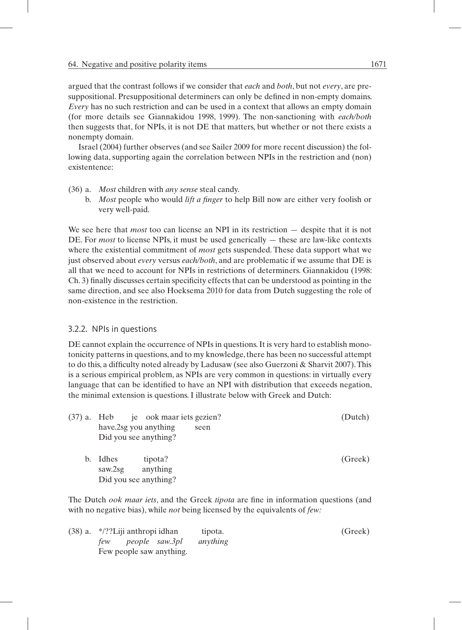argued that the contrast follows if we consider that *each* and *both*, but not *every*, are presuppositional. Presuppositional determiners can only be defined in non-empty domains. *Every* has no such restriction and can be used in a context that allows an empty domain (for more details see Giannakidou 1998, 1999). The non-sanctioning with *each/both* then suggests that, for NPIs, it is not DE that matters, but whether or not there exists a nonempty domain.

Israel (2004) further observes (and see Sailer 2009 for more recent discussion) the following data, supporting again the correlation between NPIs in the restriction and (non) existentence:

- (36) a. *Most* children with *any sense* steal candy.
	- b. *Most* people who would *lift a finger* to help Bill now are either very foolish or very well-paid.

We see here that *most* too can license an NPI in its restriction — despite that it is not DE. For *most* to license NPIs, it must be used generically — these are law-like contexts where the existential commitment of *most* gets suspended. These data support what we just observed about *every* versus *each/both*, and are problematic if we assume that DE is all that we need to account for NPIs in restrictions of determiners. Giannakidou (1998: Ch. 3) finally discusses certain specificity effects that can be understood as pointing in the same direction, and see also Hoeksema 2010 for data from Dutch suggesting the role of non-existence in the restriction.

### 3.2.2. NPIs in questions

DE cannot explain the occurrence of NPIs in questions. It is very hard to establish monotonicity patterns in questions, and to my knowledge, there has been no successful attempt to do this, a difficulty noted already by Ladusaw (see also Guerzoni  $\&$  Sharvit 2007). This is a serious empirical problem, as NPIs are very common in questions: in virtually every language that can be identified to have an NPI with distribution that exceeds negation, the minimal extension is questions. I illustrate below with Greek and Dutch:

|                         | $(37)$ a. Heb je ook maar iets gezien?         |      | (Dutch) |
|-------------------------|------------------------------------------------|------|---------|
|                         | have.2sg you anything<br>Did you see anything? | seen |         |
| b. Idhes<br>saw. $2$ sg | tipota?<br>anything<br>Did you see anything?   |      | (Greek) |

The Dutch *ook maar iets*, and the Greek *tipota* are fine in information questions (and with no negative bias), while *not* being licensed by the equivalents of *few:*

| $(38)$ a. */??Liji anthropi idhan |  |                          | tipota.                     | (Greek) |
|-----------------------------------|--|--------------------------|-----------------------------|---------|
|                                   |  |                          | few people saw.3pl anything |         |
|                                   |  | Few people saw anything. |                             |         |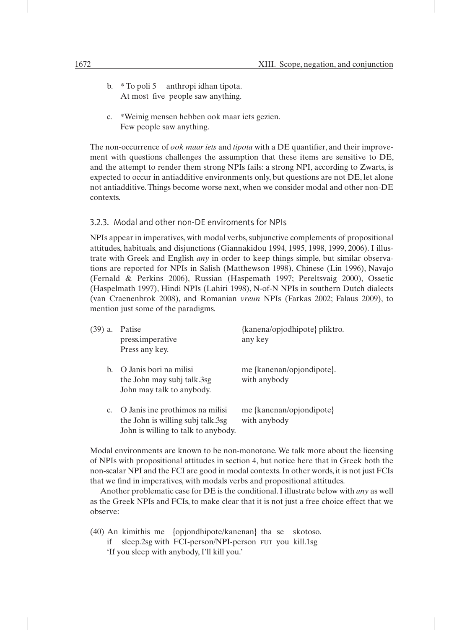- b. \* To poli 5 anthropi idhan tipota. At most five people saw anything.
- c. \*Weinig mensen hebben ook maar iets gezien. Few people saw anything.

The non-occurrence of *ook maar iets* and *tipota* with a DE quantifier, and their improvement with questions challenges the assumption that these items are sensitive to DE, and the attempt to render them strong NPIs fails: a strong NPI, according to Zwarts, is expected to occur in antiadditive environments only, but questions are not DE, let alone not antiadditive. Things become worse next, when we consider modal and other non-DE contexts.

### 3.2.3. Modal and other non-DE enviroments for NPIs

NPIs appear in imperatives, with modal verbs, subjunctive complements of propositional attitudes, habituals, and disjunctions (Giannakidou 1994, 1995, 1998, 1999, 2006). I illustrate with Greek and English *any* in order to keep things simple, but similar observations are reported for NPIs in Salish (Matthewson 1998), Chinese (Lin 1996), Navajo (Fernald & Perkins 2006), Russian (Haspemath 1997; Pereltsvaig 2000), Ossetic (Haspelmath 1997), Hindi NPIs (Lahiri 1998), N-of-N NPIs in southern Dutch dialects (van Craenenbrok 2008), and Romanian *vreun* NPIs (Farkas 2002; Falaus 2009), to mention just some of the paradigms.

| (39) a.     | Patise<br>press.imperative<br>Press any key.                                                                | {kanena/opjodhipote} pliktro.<br>any key  |
|-------------|-------------------------------------------------------------------------------------------------------------|-------------------------------------------|
|             | b. O Janis bori na milisi<br>the John may subj talk.3sg<br>John may talk to anybody.                        | me {kanenan/opjondipote}.<br>with anybody |
| $c_{\cdot}$ | O Janis ine prothimos na milisi<br>the John is willing subj talk.3sg<br>John is willing to talk to anybody. | me {kanenan/opjondipote}<br>with anybody  |

Modal environments are known to be non-monotone. We talk more about the licensing of NPIs with propositional attitudes in section 4, but notice here that in Greek both the non-scalar NPI and the FCI are good in modal contexts. In other words, it is not just FCIs that we find in imperatives, with modals verbs and propositional attitudes.

Another problematic case for DE is the conditional. I illustrate below with *any* as well as the Greek NPIs and FCIs, to make clear that it is not just a free choice effect that we observe:

(40) An kimithis me {opjondhipote/kanenan} tha se skotoso. if sleep.2sg with FCI-person/NPI-person fut you kill.1sg 'If you sleep with anybody, I'll kill you.'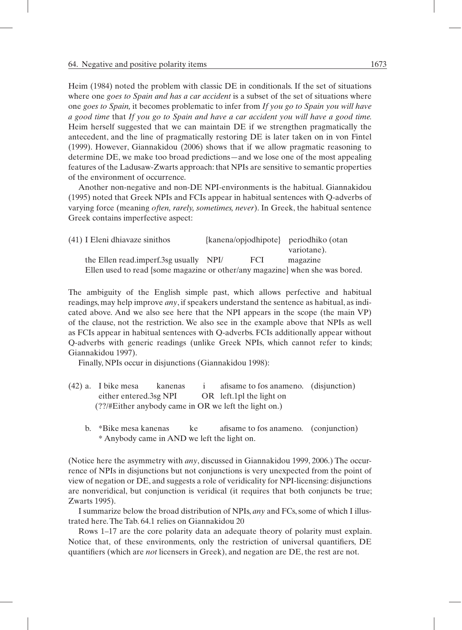Heim (1984) noted the problem with classic DE in conditionals. If the set of situations where one *goes to Spain and has a car accident* is a subset of the set of situations where one *goes to Spain,* it becomes problematic to infer from *If you go to Spain you will have a good time* that *If you go to Spain and have a car accident you will have a good time.*  Heim herself suggested that we can maintain DE if we strengthen pragmatically the antecedent, and the line of pragmatically restoring DE is later taken on in von Fintel (1999). However, Giannakidou (2006) shows that if we allow pragmatic reasoning to determine DE, we make too broad predictions—and we lose one of the most appealing features of the Ladusaw-Zwarts approach: that NPIs are sensitive to semantic properties of the environment of occurrence.

Another non-negative and non-DE NPI-environments is the habitual. Giannakidou (1995) noted that Greek NPIs and FCIs appear in habitual sentences with Q-adverbs of varying force (meaning *often, rarely, sometimes, never*). In Greek, the habitual sentence Greek contains imperfective aspect:

| (41) I Eleni dhiavaze sinithos                                               |            | {kanena/opjodhipote} periodhiko (otan |
|------------------------------------------------------------------------------|------------|---------------------------------------|
|                                                                              |            | variotane).                           |
| the Ellen read.imperf.3sg usually NPI/                                       | <b>FCI</b> | magazine                              |
| Ellen used to read {some magazine or other/any magazine} when she was bored. |            |                                       |

The ambiguity of the English simple past, which allows perfective and habitual readings, may help improve *any*, if speakers understand the sentence as habitual, as indicated above. And we also see here that the NPI appears in the scope (the main VP) of the clause, not the restriction. We also see in the example above that NPIs as well as FCIs appear in habitual sentences with Q-adverbs. FCIs additionally appear without Q-adverbs with generic readings (unlike Greek NPIs, which cannot refer to kinds; Giannakidou 1997).

Finally, NPIs occur in disjunctions (Giannakidou 1998):

- $(42)$  a. I bike mesa kanenas i afisame to fos anameno. (disjunction) either entered.3sg NPI OR left.1pl the light on (??/#Either anybody came in OR we left the light on.)
	- b. \*Bike mesa kanenas ke afisame to fos anameno. (conjunction) \* Anybody came in AND we left the light on.

(Notice here the asymmetry with *any*, discussed in Giannakidou 1999, 2006.) The occurrence of NPIs in disjunctions but not conjunctions is very unexpected from the point of view of negation or DE, and suggests a role of veridicality for NPI-licensing: disjunctions are nonveridical, but conjunction is veridical (it requires that both conjuncts be true; Zwarts 1995).

I summarize below the broad distribution of NPIs, *any* and FCs, some of which I illustrated here. The Tab. 64.1 relies on Giannakidou 20

Rows 1–17 are the core polarity data an adequate theory of polarity must explain. Notice that, of these environments, only the restriction of universal quantifiers, DE quantifiers (which are *not* licensers in Greek), and negation are DE, the rest are not.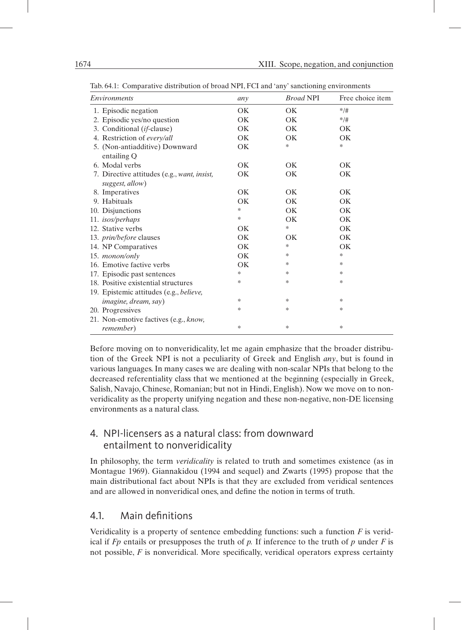| Environments                                | any           | <b>Broad NPI</b> | Free choice item |
|---------------------------------------------|---------------|------------------|------------------|
| 1. Episodic negation                        | OK            | ОK               | $* / \#$         |
| 2. Episodic yes/no question                 | OK            | OK               | $* / \#$         |
| 3. Conditional (if-clause)                  | OK            | OK               | ОK               |
| 4. Restriction of every/all                 | OK.           | OK               | OK               |
| 5. (Non-antiadditive) Downward              | OK            | *                | *                |
| entailing Q                                 |               |                  |                  |
| 6. Modal verbs                              | OK.           | OK               | OK               |
| 7. Directive attitudes (e.g., want, insist, | OK            | ОK               | ОK               |
| suggest, allow)                             |               |                  |                  |
| 8. Imperatives                              | OK            | OK               | ОK               |
| 9. Habituals                                | OK            | OK               | OK               |
| 10. Disjunctions                            | ∗             | OK               | ОK               |
| 11. isos/perhaps                            | *             | OK               | ОK               |
| 12. Stative verbs                           | OK            | $\approx$        | OK               |
| 13. <i>prin/before</i> clauses              | OK            | OK               | ОK               |
| 14. NP Comparatives                         | OK            | ∗                | OK               |
| 15. <i>monon/only</i>                       | OK.           | *                | *                |
| 16. Emotive factive verbs                   | OK            | *                | *                |
| 17. Episodic past sentences                 | *             | *                | *                |
| 18. Positive existential structures         | $\frac{1}{2}$ | *                | *                |
| 19. Epistemic attitudes (e.g., believe,     |               |                  |                  |
| <i>imagine</i> , <i>dream</i> , say)        | $\frac{1}{2}$ | *                | *                |
| 20. Progressives                            | *             | *                | *                |
| 21. Non-emotive factives (e.g., know,       |               |                  |                  |
| <i>remember</i> )                           | *             | ∗                | *                |

Tab. 64.1: Comparative distribution of broad NPI, FCI and 'any' sanctioning environments

Before moving on to nonveridicality, let me again emphasize that the broader distribution of the Greek NPI is not a peculiarity of Greek and English *any*, but is found in various languages. In many cases we are dealing with non-scalar NPIs that belong to the decreased referentiality class that we mentioned at the beginning (especially in Greek, Salish, Navajo, Chinese, Romanian; but not in Hindi, English). Now we move on to nonveridicality as the property unifying negation and these non-negative, non-DE licensing environments as a natural class.

## 4. NPI-licensers as a natural class: from downward entailment to nonveridicality

In philosophy, the term *veridicality* is related to truth and sometimes existence (as in Montague 1969). Giannakidou (1994 and sequel) and Zwarts (1995) propose that the main distributional fact about NPIs is that they are excluded from veridical sentences and are allowed in nonveridical ones, and define the notion in terms of truth.

## 4.1. Main definitions

Veridicality is a property of sentence embedding functions: such a function *F* is veridical if  $F_p$  entails or presupposes the truth of  $p$ . If inference to the truth of  $p$  under  $F$  is not possible, *F* is nonveridical. More specifically, veridical operators express certainty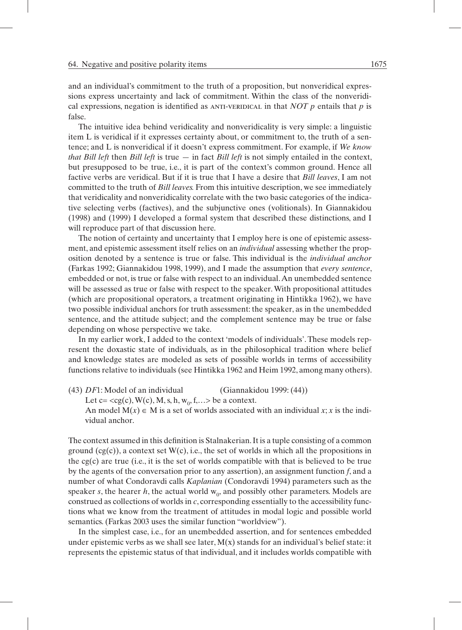and an individual's commitment to the truth of a proposition, but nonveridical expressions express uncertainty and lack of commitment. Within the class of the nonveridical expressions, negation is identified as  $\Delta N T I$ -veridical in that *NOT p* entails that *p* is false.

The intuitive idea behind veridicality and nonveridicality is very simple: a linguistic item L is veridical if it expresses certainty about, or commitment to, the truth of a sentence; and L is nonveridical if it doesn't express commitment. For example, if *We know that Bill left* then *Bill left* is true — in fact *Bill left* is not simply entailed in the context, but presupposed to be true, i.e., it is part of the context's common ground. Hence all factive verbs are veridical. But if it is true that I have a desire that *Bill leaves*, I am not committed to the truth of *Bill leaves.* From this intuitive description, we see immediately that veridicality and nonveridicality correlate with the two basic categories of the indicative selecting verbs (factives), and the subjunctive ones (volitionals). In Giannakidou (1998) and (1999) I developed a formal system that described these distinctions, and I will reproduce part of that discussion here.

The notion of certainty and uncertainty that I employ here is one of epistemic assessment, and epistemic assessment itself relies on an *individual* assessing whether the proposition denoted by a sentence is true or false. This individual is the *individual anchor*  (Farkas 1992; Giannakidou 1998, 1999), and I made the assumption that *every sentence*, embedded or not, is true or false with respect to an individual. An unembedded sentence will be assessed as true or false with respect to the speaker. With propositional attitudes (which are propositional operators, a treatment originating in Hintikka 1962), we have two possible individual anchors for truth assessment: the speaker, as in the unembedded sentence, and the attitude subject; and the complement sentence may be true or false depending on whose perspective we take.

In my earlier work, I added to the context 'models of individuals'. These models represent the doxastic state of individuals, as in the philosophical tradition where belief and knowledge states are modeled as sets of possible worlds in terms of accessibility functions relative to individuals (see Hintikka 1962 and Heim 1992, among many others).

(43) *DF*1: Model of an individual (Giannakidou 1999: (44))

Let  $c = \langle cg(c), W(c), M, s, h, w_0, f, \ldots \rangle$  be a context.

An model  $M(x) \in M$  is a set of worlds associated with an individual *x*; *x* is the individual anchor.

The context assumed in this definition is Stalnakerian. It is a tuple consisting of a common ground  $(cg(c))$ , a context set  $W(c)$ , i.e., the set of worlds in which all the propositions in the cg(c) are true (i.e., it is the set of worlds compatible with that is believed to be true by the agents of the conversation prior to any assertion), an assignment function *f*, and a number of what Condoravdi calls *Kaplanian* (Condoravdi 1994) parameters such as the speaker  $s$ , the hearer  $h$ , the actual world  $w_0$ , and possibly other parameters. Models are construed as collections of worlds in *c*, corresponding essentially to the accessibility functions what we know from the treatment of attitudes in modal logic and possible world semantics. (Farkas 2003 uses the similar function "worldview").

In the simplest case, i.e., for an unembedded assertion, and for sentences embedded under epistemic verbs as we shall see later,  $M(x)$  stands for an individual's belief state: it represents the epistemic status of that individual, and it includes worlds compatible with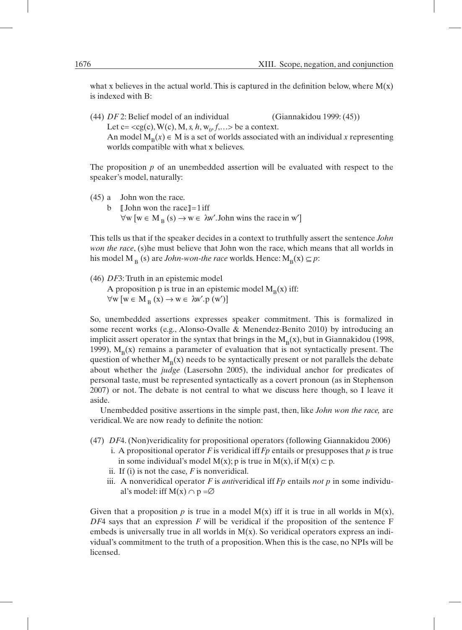what x believes in the actual world. This is captured in the definition below, where  $M(x)$ is indexed with B:

(44) *DF* 2: Belief model of an individual (Giannakidou 1999: (45)) Let  $c = \langle cg(c), W(c), M, s, h, w_0, f, \ldots \rangle$  be a context. An model  $M_B(x) \in M$  is a set of worlds associated with an individual *x* representing worlds compatible with what x believes.

The proposition *p* of an unembedded assertion will be evaluated with respect to the speaker's model, naturally:

- (45) a John won the race.
	- b  $\Box$  John won the race  $\Vert = 1$  iff  $\forall w$  [w  $\in M_B(s) \rightarrow w \in \lambda w'$ . John wins the race in w']

This tells us that if the speaker decides in a context to truthfully assert the sentence *John won the race*, (s)he must believe that John won the race, which means that all worlds in his model M  $_B$  (s) are *John-won-the race* worlds. Hence:  $M_B(x) \subseteq p$ :

(46) *DF*3: Truth in an epistemic model A proposition p is true in an epistemic model  $M_p(x)$  iff:  $\forall w \,[w \in M_B(x) \rightarrow w \in \lambda w'.p(w')]$ 

So, unembedded assertions expresses speaker commitment. This is formalized in some recent works (e.g., Alonso-Ovalle & Menendez-Benito 2010) by introducing an implicit assert operator in the syntax that brings in the  $M_B(x)$ , but in Giannakidou (1998, 1999),  $M_B(x)$  remains a parameter of evaluation that is not syntactically present. The question of whether  $M_B(x)$  needs to be syntactically present or not parallels the debate about whether the *judge* (Lasersohn 2005), the individual anchor for predicates of personal taste, must be represented syntactically as a covert pronoun (as in Stephenson 2007) or not. The debate is not central to what we discuss here though, so I leave it aside.

Unembedded positive assertions in the simple past, then, like *John won the race,* are veridical. We are now ready to definite the notion:

- (47) *DF*4. (Non)veridicality for propositional operators (following Giannakidou 2006)
	- i. A propositional operator *F* is veridical iff *Fp* entails or presupposes that *p* is true in some individual's model M(x); p is true in M(x), if M(x)  $\subset$  p.
	- ii. If (i) is not the case*, F* is nonveridical.
	- iii. A nonveridical operator *F* is *anti*veridical iff *Fp* entails *not p* in some individual's model: iff  $M(x) \cap p = \emptyset$

Given that a proposition p is true in a model  $M(x)$  iff it is true in all worlds in  $M(x)$ , *DF*4 says that an expression *F* will be veridical if the proposition of the sentence F embeds is universally true in all worlds in  $M(x)$ . So veridical operators express an individual's commitment to the truth of a proposition. When this is the case, no NPIs will be licensed.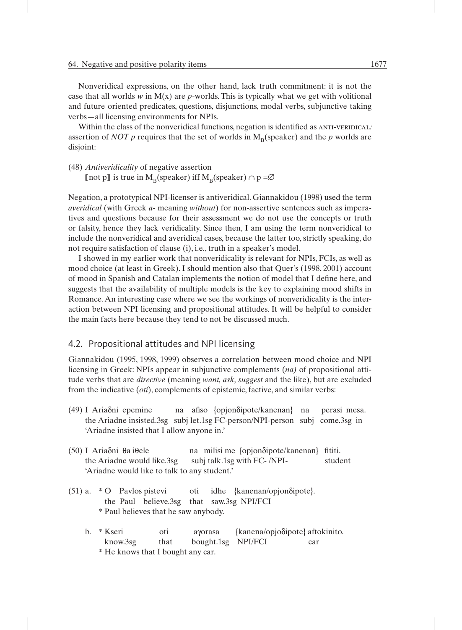Nonveridical expressions, on the other hand, lack truth commitment: it is not the case that all worlds  $w$  in  $M(x)$  are  $p$ -worlds. This is typically what we get with volitional and future oriented predicates, questions, disjunctions, modal verbs, subjunctive taking verbs—all licensing environments for NPIs.

Within the class of the nonveridical functions, negation is identified as ANTI-VERIDICAL: assertion of *NOT p* requires that the set of worlds in  $M_B$ (speaker) and the *p* worlds are disjoint:

(48) *Antiveridicality* of negative assertion

[not p] is true in M<sub>B</sub>(speaker) iff M<sub>B</sub>(speaker) ∩ p =∅

Negation, a prototypical NPI-licenser is antiveridical. Giannakidou (1998) used the term *averidical* (with Greek *a-* meaning *without*) for non-assertive sentences such as imperatives and questions because for their assessment we do not use the concepts or truth or falsity, hence they lack veridicality. Since then, I am using the term nonveridical to include the nonveridical and averidical cases, because the latter too, strictly speaking, do not require satisfaction of clause (i), i.e., truth in a speaker's model.

I showed in my earlier work that nonveridicality is relevant for NPIs, FCIs, as well as mood choice (at least in Greek). I should mention also that Quer's (1998, 2001) account of mood in Spanish and Catalan implements the notion of model that I define here, and suggests that the availability of multiple models is the key to explaining mood shifts in Romance. An interesting case where we see the workings of nonveridicality is the interaction between NPI licensing and propositional attitudes. It will be helpful to consider the main facts here because they tend to not be discussed much.

### 4.2. Propositional attitudes and NPI licensing

Giannakidou (1995, 1998, 1999) observes a correlation between mood choice and NPI licensing in Greek: NPIs appear in subjunctive complements (*na)* of propositional attitude verbs that are *directive* (meaning *want, ask, suggest* and the like), but are excluded from the indicative (*oti*), complements of epistemic, factive, and similar verbs:

- (49) I Ariaδni epemine na afiso {opjonδipote/kanenan} na perasi mesa. the Ariadne insisted.3sg subj let.1sg FC-person/NPI-person subj come.3sg in 'Ariadne insisted that I allow anyone in.'
- (50) I Ariaδni θa iθele na milisi me {opjonδipote/kanenan} fititi. the Ariadne would like.3sg subj talk.1sg with FC-/NPI- student 'Ariadne would like to talk to any student.'
- (51) a. \* O Pavlos pistevi oti idhe {kanenan/opjonδipote}. the Paul believe.3sg that saw.3sg NPI/FCI \* Paul believes that he saw anybody.
	- b. \* Kseri oti aγorasa {kanena/opjoδipote} aftokinito. know.3sg that bought.1sg NPI/FCI car \* He knows that I bought any car.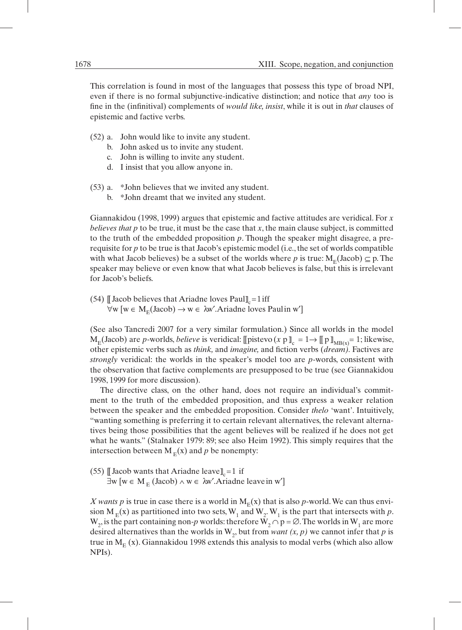This correlation is found in most of the languages that possess this type of broad NPI, even if there is no formal subjunctive-indicative distinction; and notice that *any* too is fine in the (infinitival) complements of *would like, insist*, while it is out in *that* clauses of epistemic and factive verbs.

- (52) a. John would like to invite any student.
	- b. John asked us to invite any student.
	- c. John is willing to invite any student.
	- d. I insist that you allow anyone in.
- (53) a. \*John believes that we invited any student.
	- b. \*John dreamt that we invited any student.

Giannakidou (1998, 1999) argues that epistemic and factive attitudes are veridical. For *x believes that p* to be true, it must be the case that *x*, the main clause subject, is committed to the truth of the embedded proposition *p*. Though the speaker might disagree, a prerequisite for *p* to be true is that Jacob's epistemic model (i.e., the set of worlds compatible with what Jacob believes) be a subset of the worlds where *p* is true:  $M_E$ (Jacob)  $\subseteq$  p. The speaker may believe or even know that what Jacob believes is false, but this is irrelevant for Jacob's beliefs.

(54) [Jacob believes that Ariadne loves  $Pauli]_{c} = 1$  iff  $\forall w$  [w  $\in M_E(Jacob) \rightarrow w \in \lambda w'$ . Ariadne loves Paulin w']

(See also Tancredi 2007 for a very similar formulation.) Since all worlds in the model  $M_E(\text{Jacob})$  are *p*-worlds, *believe* is veridical: [[pistevo (*x* p  $\mathbb{I}_c = 1 \rightarrow$  [[ p  $\mathbb{I}_{MB(x)} = 1$ ; likewise, other epistemic verbs such as *think*, and *imagine*, and fiction verbs (*dream*). Factives are *strongly* veridical: the worlds in the speaker's model too are *p*-words, consistent with the observation that factive complements are presupposed to be true (see Giannakidou 1998, 1999 for more discussion).

The directive class, on the other hand, does not require an individual's commitment to the truth of the embedded proposition, and thus express a weaker relation between the speaker and the embedded proposition. Consider *thelo* 'want'. Intuitively, "wanting something is preferring it to certain relevant alternatives, the relevant alternatives being those possibilities that the agent believes will be realized if he does not get what he wants." (Stalnaker 1979: 89; see also Heim 1992). This simply requires that the intersection between  $M<sub>E</sub>(x)$  and *p* be nonempty:

(55) [Jacob wants that Ariadne leave  $\mathbb{I}_{c}$  = 1 if  $\exists w \,[w \in M_F \,( \text{Jacob}) \wedge w \in \lambda w'.\text{Ariadne leave in } w' \text{]}$ 

X wants p is true in case there is a world in  $M<sub>E</sub>(x)$  that is also p-world. We can thus envision  $M_E(x)$  as partitioned into two sets,  $W_1$  and  $W_2$ .  $W_1$  is the part that intersects with p. W<sub>2</sub>, is the part containing non-p worlds: therefore  $W_2 \cap p = \emptyset$ . The worlds in  $W_1$  are more desired alternatives than the worlds in  $W_2$ , but from *want*  $(x, p)$  we cannot infer that  $p$  is true in  $M<sub>E</sub>$  (x). Giannakidou 1998 extends this analysis to modal verbs (which also allow NPIs).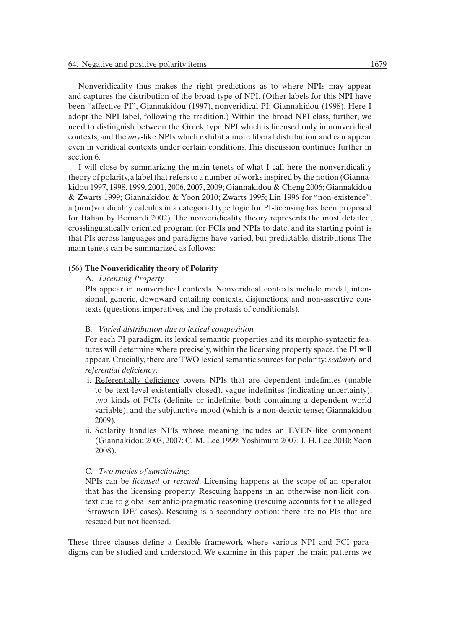Nonveridicality thus makes the right predictions as to where NPIs may appear and captures the distribution of the broad type of NPI. (Other labels for this NPI have been "affective PI", Giannakidou (1997), nonveridical PI; Giannakidou (1998). Here I adopt the NPI label, following the tradition.) Within the broad NPI class, further, we need to distinguish between the Greek type NPI which is licensed only in nonveridical contexts, and the *any*-like NPIs which exhibit a more liberal distribution and can appear even in veridical contexts under certain conditions. This discussion continues further in section 6.

I will close by summarizing the main tenets of what I call here the nonveridicality theory of polarity, a label that refers to a number of works inspired by the notion (Giannakidou 1997, 1998, 1999, 2001, 2006, 2007, 2009; Giannakidou & Cheng 2006; Giannakidou & Zwarts 1999; Giannakidou & Yoon 2010; Zwarts 1995; Lin 1996 for "non-existence"; a (non)veridicality calculus in a categorial type logic for PI-licensing has been proposed for Italian by Bernardi 2002). The nonveridicality theory represents the most detailed, crosslinguistically oriented program for FCIs and NPIs to date, and its starting point is that PIs across languages and paradigms have varied, but predictable, distributions. The main tenets can be summarized as follows:

#### (56) **The Nonveridicality theory of Polarity**

#### A. *Licensing Property*

 PIs appear in nonveridical contexts. Nonveridical contexts include modal, intensional, generic, downward entailing contexts, disjunctions, and non-assertive contexts (questions, imperatives, and the protasis of conditionals).

#### B. *Varied distribution due to lexical composition*

 For each PI paradigm, its lexical semantic properties and its morpho-syntactic features will determine where precisely, within the licensing property space, the PI will appear. Crucially, there are TWO lexical semantic sources for polarity: *scalarity* and *referential deficiency.* 

- i. Referentially deficiency covers NPIs that are dependent indefinites (unable to be text-level existentially closed), vague indefinites (indicating uncertainty), two kinds of FCIs (definite or indefinite, both containing a dependent world variable), and the subjunctive mood (which is a non-deictic tense; Giannakidou 2009).
- ii. Scalarity handles NPIs whose meaning includes an EVEN-like component (Giannakidou 2003, 2007; C.-M. Lee 1999; Yoshimura 2007: J.-H. Lee 2010; Yoon 2008).

#### C. *Two modes of sanctioning*:

 NPIs can be *licensed* or *rescued*. Licensing happens at the scope of an operator that has the licensing property. Rescuing happens in an otherwise non-licit context due to global semantic-pragmatic reasoning (rescuing accounts for the alleged 'Strawson DE' cases). Rescuing is a secondary option: there are no PIs that are rescued but not licensed.

These three clauses define a flexible framework where various NPI and FCI paradigms can be studied and understood. We examine in this paper the main patterns we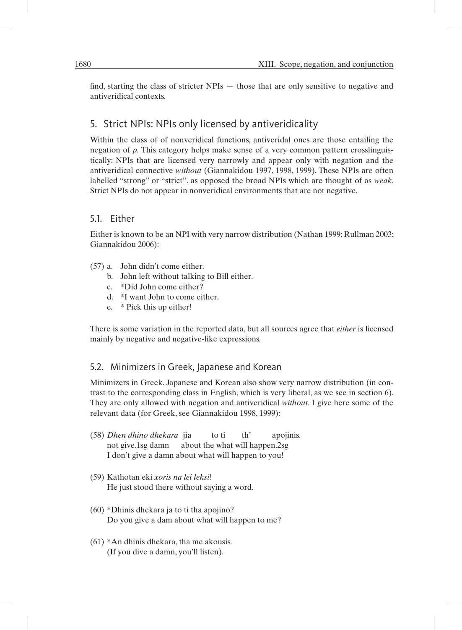find, starting the class of stricter  $NPIs$  — those that are only sensitive to negative and antiveridical contexts.

## 5. Strict NPIs: NPIs only licensed by antiveridicality

Within the class of of nonveridical functions, antiveridal ones are those entailing the negation of *p.* This category helps make sense of a very common pattern crosslinguistically: NPIs that are licensed very narrowly and appear only with negation and the antiveridical connective *without* (Giannakidou 1997, 1998, 1999). These NPIs are often labelled "strong" or "strict", as opposed the broad NPIs which are thought of as *weak.*  Strict NPIs do not appear in nonveridical environments that are not negative.

### 5.1. Either

Either is known to be an NPI with very narrow distribution (Nathan 1999; Rullman 2003; Giannakidou 2006):

- (57) a. John didn't come either.
	- b. John left without talking to Bill either.
	- c. \*Did John come either?
	- d. \*I want John to come either.
	- e. \* Pick this up either!

There is some variation in the reported data, but all sources agree that *either* is licensed mainly by negative and negative-like expressions.

### 5.2. Minimizers in Greek, Japanese and Korean

Minimizers in Greek, Japanese and Korean also show very narrow distribution (in contrast to the corresponding class in English, which is very liberal, as we see in section 6). They are only allowed with negation and antiveridical *without*. I give here some of the relevant data (for Greek, see Giannakidou 1998, 1999):

- (58) *Dhen dhino dhekara* jia to ti th' apojinis. not give.1sg damn about the what will happen.2sg I don't give a damn about what will happen to you!
- (59) Kathotan eki *xoris na lei leksi*! He just stood there without saying a word.
- (60) \*Dhinis dhekara ja to ti tha apojino? Do you give a dam about what will happen to me?
- (61) \*An dhinis dhekara, tha me akousis. (If you dive a damn, you'll listen).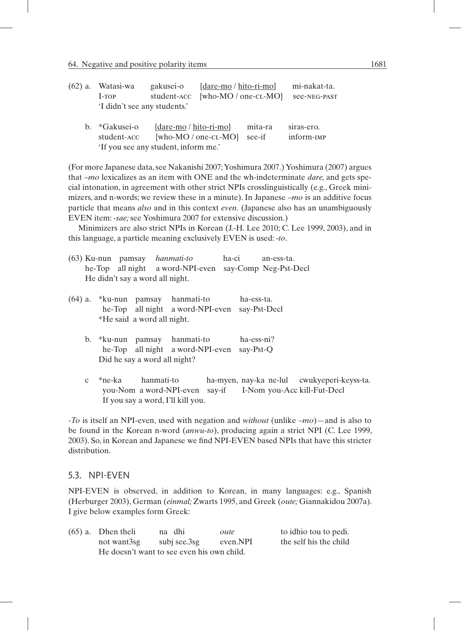|                              | (62) a. Watasi-wa gakusei-o {dare-mo / hito-ri-mo} mi-nakat-ta. |  |
|------------------------------|-----------------------------------------------------------------|--|
| $I$ -TOP                     | student-ACC {who-MO / one-CL-MO} see-NEG-PAST                   |  |
| 'I didn't see any students.' |                                                                 |  |

 b. \*Gakusei-o {dare-mo / hito-ri-mo} mita-ra siras-ero. student-acc {who-MO / one-cl-MO} see-if inform-lMP 'If you see any student, inform me.'

(For more Japanese data, see Nakanishi 2007; Yoshimura 2007.) Yoshimura (2007) argues that –*mo* lexicalizes as an item with ONE and the wh-indeterminate *dare,* and gets special intonation, in agreement with other strict NPIs crosslinguistically (e.g., Greek minimizers, and n-words; we review these in a minute). In Japanese *–mo* is an additive focus particle that means *also* and in this context *even.* (Japanese also has an unambiguously EVEN item: -*sae;* see Yoshimura 2007 for extensive discussion.)

Minimizers are also strict NPIs in Korean (J.-H. Lee 2010; C. Lee 1999, 2003), and in this language, a particle meaning exclusively EVEN is used: -*to*.

|                                 |  | (63) Ku-nun pamsay <i>hanmati-to</i>                   | ha-ci an-ess-ta. |  |  |
|---------------------------------|--|--------------------------------------------------------|------------------|--|--|
|                                 |  | he-Top all night a word-NPI-even say-Comp Neg-Pst-Decl |                  |  |  |
| He didn't say a word all night. |  |                                                        |                  |  |  |

- (64) a. \*ku-nun pamsay hanmati-to ha-ess-ta. he-Top all night a word-NPI-even say-Pst-Decl \*He said a word all night.
	- b. \*ku-nun pamsay hanmati-to ha-ess-ni? he-Top all night a word-NPI-even say-Pst-Q Did he say a word all night?
	- c \*ne-ka hanmati-to ha-myen, nay-ka ne-lul cwukyeperi-keyss-ta. you-Nom a word-NPI-even say-if I-Nom you-Acc kill-Fut-Decl If you say a word, I'll kill you.

*-To* is itself an NPI-even, used with negation and *without* (unlike –*mo*)—and is also to be found in the Korean n-word (*anwu-to*), producing again a strict NPI (C. Lee 1999, 2003). So, in Korean and Japanese we find NPI-EVEN based NPIs that have this stricter distribution.

### 5.3. NPI-EVEN

NPI-EVEN is observed, in addition to Korean, in many languages: e.g., Spanish (Herburger 2003), German (*einmal;* Zwarts 1995, and Greek (*oute;* Giannakidou 2007a). I give below examples form Greek:

| $(65)$ a. Dhen theli | na dhi                                     | oute     | to idhio tou to pedi.  |
|----------------------|--------------------------------------------|----------|------------------------|
| not want3sg          | subj see.3sg                               | even.NPI | the self his the child |
|                      | He doesn't want to see even his own child. |          |                        |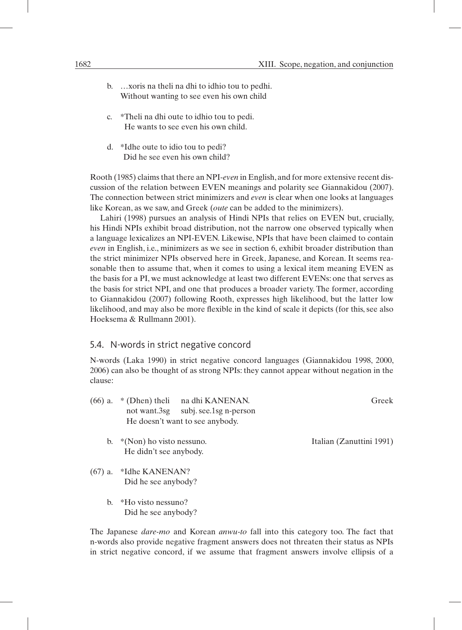- b. …xoris na theli na dhi to idhio tou to pedhi. Without wanting to see even his own child
- c. \*Theli na dhi oute to idhio tou to pedi. He wants to see even his own child.
- d. \*Idhe oute to idio tou to pedi? Did he see even his own child?

Rooth (1985) claims that there an NPI-*even* in English, and for more extensive recent discussion of the relation between EVEN meanings and polarity see Giannakidou (2007). The connection between strict minimizers and *even* is clear when one looks at languages like Korean, as we saw, and Greek (*oute* can be added to the minimizers).

Lahiri (1998) pursues an analysis of Hindi NPIs that relies on EVEN but, crucially, his Hindi NPIs exhibit broad distribution, not the narrow one observed typically when a language lexicalizes an NPI-EVEN. Likewise, NPIs that have been claimed to contain *even* in English, i.e., minimizers as we see in section 6, exhibit broader distribution than the strict minimizer NPIs observed here in Greek, Japanese, and Korean. It seems reasonable then to assume that, when it comes to using a lexical item meaning EVEN as the basis for a PI, we must acknowledge at least two different EVENs: one that serves as the basis for strict NPI, and one that produces a broader variety. The former, according to Giannakidou (2007) following Rooth, expresses high likelihood, but the latter low likelihood, and may also be more flexible in the kind of scale it depicts (for this, see also Hoeksema & Rullmann 2001).

### 5.4. N-words in strict negative concord

N-words (Laka 1990) in strict negative concord languages (Giannakidou 1998, 2000, 2006) can also be thought of as strong NPIs: they cannot appear without negation in the clause:

| $(66)$ a. | * (Dhen) theli<br>na dhi KANENAN.<br>subj. see.1sg n-person<br>not want.3sg<br>He doesn't want to see anybody. | Greek                    |
|-----------|----------------------------------------------------------------------------------------------------------------|--------------------------|
|           | b. $*(Non)$ ho visto nessuno.<br>He didn't see anybody.                                                        | Italian (Zanuttini 1991) |
| $(67)$ a. | *Idhe KANENAN?<br>Did he see anybody?                                                                          |                          |
|           | b. $*$ Ho visto nessuno?<br>Did he see anybody?                                                                |                          |

The Japanese *dare-mo* and Korean *anwu-to* fall into this category too. The fact that n-words also provide negative fragment answers does not threaten their status as NPIs in strict negative concord, if we assume that fragment answers involve ellipsis of a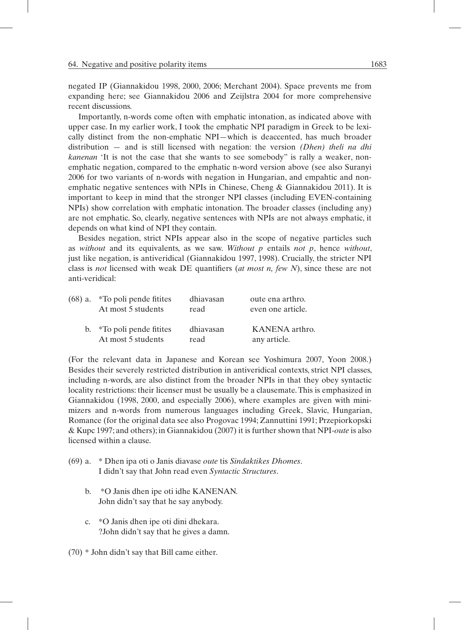negated IP (Giannakidou 1998, 2000, 2006; Merchant 2004). Space prevents me from expanding here; see Giannakidou 2006 and Zeijlstra 2004 for more comprehensive recent discussions.

Importantly, n-words come often with emphatic intonation, as indicated above with upper case. In my earlier work, I took the emphatic NPI paradigm in Greek to be lexically distinct from the non-emphatic NPI—which is deaccented, has much broader distribution — and is still licensed with negation: the version *(Dhen) theli na dhi kanenan* 'It is not the case that she wants to see somebody" is rally a weaker, nonemphatic negation, compared to the emphatic n-word version above (see also Suranyi 2006 for two variants of n-words with negation in Hungarian, and empahtic and nonemphatic negative sentences with NPIs in Chinese, Cheng & Giannakidou 2011). It is important to keep in mind that the stronger NPI classes (including EVEN-containing NPIs) show correlation with emphatic intonation. The broader classes (including any) are not emphatic. So, clearly, negative sentences with NPIs are not always emphatic, it depends on what kind of NPI they contain.

Besides negation, strict NPIs appear also in the scope of negative particles such as *without* and its equivalents, as we saw. *Without p* entails *not p*, hence *without*, just like negation, is antiveridical (Giannakidou 1997, 1998). Crucially, the stricter NPI class is *not* licensed with weak DE quantifiers (*at most n, few N*), since these are not anti-veridical:

| $(68)$ a. *To poli pende fitites | dhiavasan | oute ena arthro.  |
|----------------------------------|-----------|-------------------|
| At most 5 students               | read      | even one article. |
| b. *To poli pende fitites        | dhiavasan | KANENA arthro.    |
| At most 5 students               | read      | any article.      |

(For the relevant data in Japanese and Korean see Yoshimura 2007, Yoon 2008.) Besides their severely restricted distribution in antiveridical contexts, strict NPI classes, including n-words, are also distinct from the broader NPIs in that they obey syntactic locality restrictions: their licenser must be usually be a clausemate. This is emphasized in Giannakidou (1998, 2000, and especially 2006), where examples are given with minimizers and n-words from numerous languages including Greek, Slavic, Hungarian, Romance (for the original data see also Progovac 1994; Zannuttini 1991; Przepiorkopski & Kupc 1997; and others); in Giannakidou (2007) it is further shown that NPI-*oute* is also licensed within a clause.

- (69) a. \* Dhen ipa oti o Janis diavase *oute* tis *Sindaktikes Dhomes*. I didn't say that John read even *Syntactic Structures*.
	- b. \*O Janis dhen ipe oti idhe KANENAN. John didn't say that he say anybody.
	- c. \*O Janis dhen ipe oti dini dhekara. ?John didn't say that he gives a damn.
- (70) \* John didn't say that Bill came either.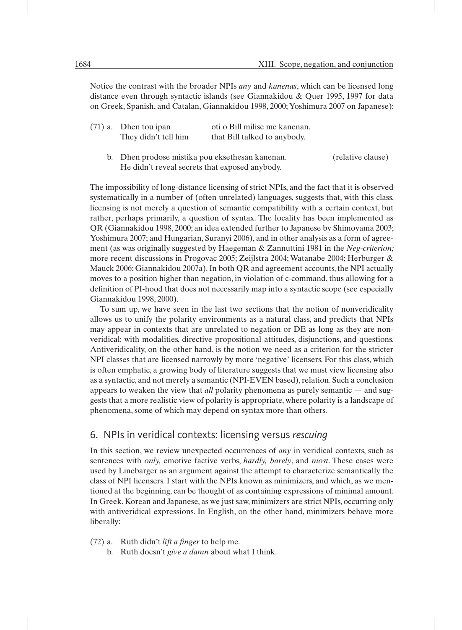Notice the contrast with the broader NPIs *any* and *kanenas*, which can be licensed long distance even through syntactic islands (see Giannakidou & Quer 1995, 1997 for data on Greek, Spanish, and Catalan, Giannakidou 1998, 2000; Yoshimura 2007 on Japanese):

|                         | $1 \quad \text{1} \quad 1 \quad 1 \quad 1 \quad 1$ | $\left(1,1\right)$ $\left(1,1\right)$ $\left(1,1\right)$ $\left(1,1\right)$ |
|-------------------------|----------------------------------------------------|-----------------------------------------------------------------------------|
| They didn't tell him    | that Bill talked to anybody.                       |                                                                             |
| $(71)$ a. Dhen tou ipan | oti o Bill milise me kanenan.                      |                                                                             |

 b. Dhen prodose mistika pou eksethesan kanenan. (relative clause) He didn't reveal secrets that exposed anybody.

The impossibility of long-distance licensing of strict NPIs, and the fact that it is observed systematically in a number of (often unrelated) languages, suggests that, with this class, licensing is not merely a question of semantic compatibility with a certain context, but rather, perhaps primarily, a question of syntax. The locality has been implemented as QR (Giannakidou 1998, 2000; an idea extended further to Japanese by Shimoyama 2003; Yoshimura 2007; and Hungarian, Suranyi 2006), and in other analysis as a form of agreement (as was originally suggested by Haegeman & Zannuttini 1981 in the *Neg-criterion;*  more recent discussions in Progovac 2005; Zeijlstra 2004; Watanabe 2004; Herburger & Mauck 2006; Giannakidou 2007a). In both QR and agreement accounts, the NPI actually moves to a position higher than negation, in violation of c-command, thus allowing for a definition of PI-hood that does not necessarily map into a syntactic scope (see especially Giannakidou 1998, 2000).

To sum up, we have seen in the last two sections that the notion of nonveridicality allows us to unify the polarity environments as a natural class, and predicts that NPIs may appear in contexts that are unrelated to negation or DE as long as they are nonveridical: with modalities, directive propositional attitudes, disjunctions, and questions. Antiveridicality, on the other hand, is the notion we need as a criterion for the stricter NPI classes that are licensed narrowly by more 'negative' licensers. For this class, which is often emphatic, a growing body of literature suggests that we must view licensing also as a syntactic, and not merely a semantic (NPI-EVEN based), relation. Such a conclusion appears to weaken the view that *all* polarity phenomena as purely semantic — and suggests that a more realistic view of polarity is appropriate, where polarity is a landscape of phenomena, some of which may depend on syntax more than others.

## 6. NPIs in veridical contexts: licensing versus *rescuing*

In this section, we review unexpected occurrences of *any* in veridical contexts, such as sentences with *only,* emotive factive verbs, *hardly, barely*, and *most*. These cases were used by Linebarger as an argument against the attempt to characterize semantically the class of NPI licensers. I start with the NPIs known as minimizers, and which, as we mentioned at the beginning, can be thought of as containing expressions of minimal amount. In Greek, Korean and Japanese, as we just saw, minimizers are strict NPIs, occurring only with antiveridical expressions. In English, on the other hand, minimizers behave more liberally:

- (72) a. Ruth didn't *lift a finger* to help me.
	- b. Ruth doesn't *give a damn* about what I think.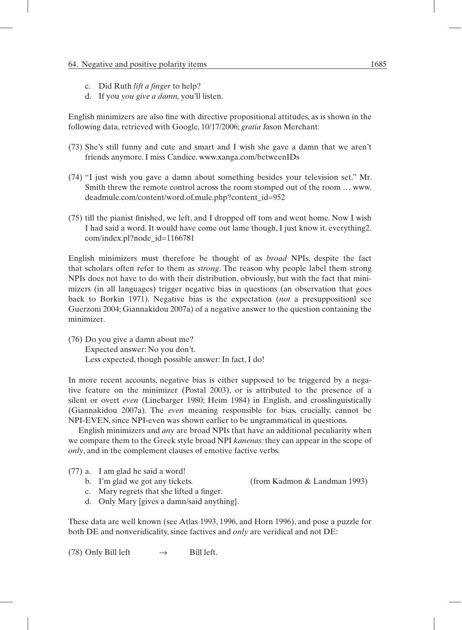- c. Did Ruth *lift a finger* to help?
- d. If you *you give a damn,* you'll listen.

English minimizers are also fine with directive propositional attitudes, as is shown in the following data, retrieved with Google, 10/17/2006; *gratia* Jason Merchant:

- (73) She's still funny and cute and smart and I wish she gave a damn that we aren't friends anymore. I miss Candice. www.xanga.com/betweenIDs
- (74) "I just wish you gave a damn about something besides your television set." Mr. Smith threw the remote control across the room stomped out of the room … www. deadmule.com/content/word.of.mule.php?content\_id=952
- $(75)$  till the pianist finished, we left, and I dropped off tom and went home. Now I wish I had said a word. It would have come out lame though, I just know it. everything2. com/index.pl?node\_id=1166781

English minimizers must therefore be thought of as *broad* NPIs, despite the fact that scholars often refer to them as *strong*. The reason why people label them strong NPIs does not have to do with their distribution, obviously, but with the fact that minimizers (in all languages) trigger negative bias in questions (an observation that goes back to Borkin 1971). Negative bias is the expectation (*not* a presuppositionl see Guerzoni 2004; Giannakidou 2007a) of a negative answer to the question containing the minimizer.

(76) Do you give a damn about me? Expected answer: No you don't. Less expected, though possible answer: In fact, I do!

In more recent accounts, negative bias is either supposed to be triggered by a negative feature on the minimizer (Postal 2003), or is attributed to the presence of a silent or overt *even* (Linebarger 1980; Heim 1984) in English, and crosslinguistically (Giannakidou 2007a). The *even* meaning responsible for bias, crucially, cannot be NPI-EVEN, since NPI-even was shown earlier to be ungrammatical in questions.

English minimizers and *any* are broad NPIs that have an additional peculiarity when we compare them to the Greek style broad NPI *kanenas:* they can appear in the scope of *only*, and in the complement clauses of emotive factive verbs.

(77) a. I am glad he said a word!

b. I'm glad we got any tickets. (from Kadmon & Landman 1993)

- c. Mary regrets that she lifted a finger.
- d. Only Mary {gives a damn/said anything}.

These data are well known (see Atlas 1993, 1996, and Horn 1996), and pose a puzzle for both DE and nonveridicality, since factives and *only* are veridical and not DE:

(78) Only Bill left  $\rightarrow$  Bill left.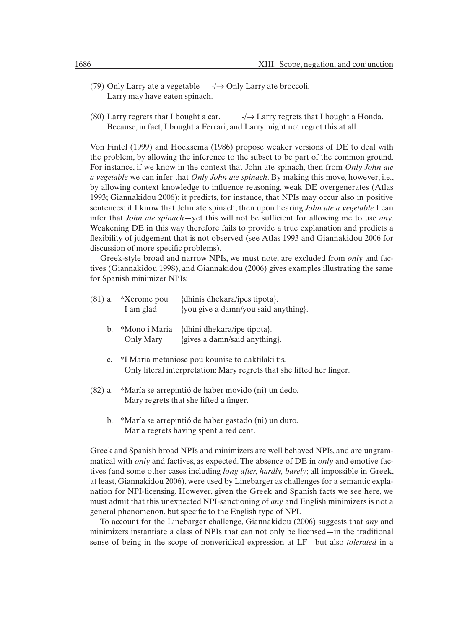- (79) Only Larry ate a vegetable  $-\rightarrow$  Only Larry ate broccoli. Larry may have eaten spinach.
- (80) Larry regrets that I bought a car.  $-/-$  Larry regrets that I bought a Honda. Because, in fact, I bought a Ferrari, and Larry might not regret this at all.

Von Fintel (1999) and Hoeksema (1986) propose weaker versions of DE to deal with the problem, by allowing the inference to the subset to be part of the common ground. For instance, if we know in the context that John ate spinach, then from *Only John ate a vegetable* we can infer that *Only John ate spinach*. By making this move, however, i.e., by allowing context knowledge to influence reasoning, weak DE overgenerates (Atlas 1993; Giannakidou 2006); it predicts, for instance, that NPIs may occur also in positive sentences: if I know that John ate spinach, then upon hearing *John ate a vegetable* I can infer that *John ate spinach*—yet this will not be sufficient for allowing me to use *any*. Weakening DE in this way therefore fails to provide a true explanation and predicts a flexibility of judgement that is not observed (see Atlas 1993 and Giannakidou 2006 for discussion of more specific problems).

Greek-style broad and narrow NPIs, we must note, are excluded from *only* and factives (Giannakidou 1998), and Giannakidou (2006) gives examples illustrating the same for Spanish minimizer NPIs:

|                | $(81)$ a. *Xerome pou<br>I am glad | {dhinis dhekara/ipes tipota}.<br>{you give a damn/you said anything}.                                                     |  |
|----------------|------------------------------------|---------------------------------------------------------------------------------------------------------------------------|--|
| $\mathbf{b}$ . | *Mono i Maria<br>Only Mary         | {dhini dhekara/ipe tipota}.<br>{gives a damn/said anything}.                                                              |  |
| c.             |                                    | *I Maria metaniose pou kounise to daktilaki tis.<br>Only literal interpretation: Mary regrets that she lifted her finger. |  |
| $(82)$ a.      |                                    | *María se arrepintió de haber movido (ni) un dedo.<br>Mary regrets that she lifted a finger.                              |  |
|                |                                    |                                                                                                                           |  |

 b. \*María se arrepintió de haber gastado (ni) un duro. María regrets having spent a red cent.

Greek and Spanish broad NPIs and minimizers are well behaved NPIs, and are ungrammatical with *only* and factives, as expected. The absence of DE in *only* and emotive factives (and some other cases including *long after, hardly, barely*; all impossible in Greek, at least, Giannakidou 2006), were used by Linebarger as challenges for a semantic explanation for NPI-licensing. However, given the Greek and Spanish facts we see here, we must admit that this unexpected NPI-sanctioning of *any* and English minimizers is not a general phenomenon, but specific to the English type of NPI.

To account for the Linebarger challenge, Giannakidou (2006) suggests that *any* and minimizers instantiate a class of NPIs that can not only be licensed—in the traditional sense of being in the scope of nonveridical expression at LF—but also *tolerated* in a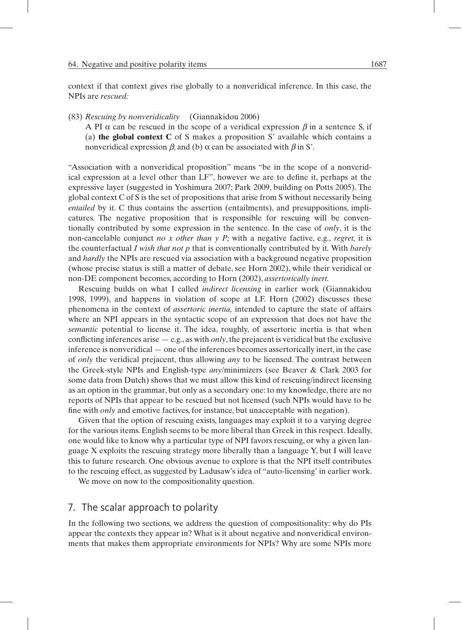context if that context gives rise globally to a nonveridical inference. In this case, the NPIs are *rescued:*

(83) *Rescuing by nonveridicality* (Giannakidou 2006)

A PI  $\alpha$  can be rescued in the scope of a veridical expression  $\beta$  in a sentence S, if (a) **the global context C** of S makes a proposition S' available which contains a nonveridical expression  $β$ ; and (b)  $α$  can be associated with  $β$  in S'.

"Association with a nonveridical proposition" means "be in the scope of a nonveridical expression at a level other than LF", however we are to define it, perhaps at the expressive layer (suggested in Yoshimura 2007; Park 2009, building on Potts 2005). The global context C of S is the set of propositions that arise from S without necessarily being *entailed* by it. C thus contains the assertion (entailments), and presuppositions, implicatures. The negative proposition that is responsible for rescuing will be conventionally contributed by some expression in the sentence. In the case of *only*, it is the non-cancelable conjunct *no x other than y P;* with a negative factive, e.g., *regret,* it is the counterfactual *I wish that not p* that is conventionally contributed by it*.* With *barely* and *hardly* the NPIs are rescued via association with a background negative proposition (whose precise status is still a matter of debate, see Horn 2002), while their veridical or non-DE component becomes, according to Horn (2002), *assertorically inert.* 

Rescuing builds on what I called *indirect licensing* in earlier work (Giannakidou 1998, 1999), and happens in violation of scope at LF. Horn (2002) discusses these phenomena in the context of *assertoric inertia,* intended to capture the state of affairs where an NPI appears in the syntactic scope of an expression that does not have the *semantic* potential to license it. The idea, roughly, of assertoric inertia is that when conflicting inferences arise  $-$  e.g., as with *only*, the prejacent is veridical but the exclusive inference is nonveridical — one of the inferences becomes assertorically inert, in the case of *only* the veridical prejacent, thus allowing *any* to be licensed. The contrast between the Greek-style NPIs and English-type *any*/minimizers (see Beaver & Clark 2003 for some data from Dutch) shows that we must allow this kind of rescuing/indirect licensing as an option in the grammar, but only as a secondary one: to my knowledge, there are no reports of NPIs that appear to be rescued but not licensed (such NPIs would have to be fine with *only* and emotive factives, for instance, but unacceptable with negation).

Given that the option of rescuing exists, languages may exploit it to a varying degree for the various items. English seems to be more liberal than Greek in this respect. Ideally, one would like to know why a particular type of NPI favors rescuing, or why a given language X exploits the rescuing strategy more liberally than a language Y, but I will leave this to future research. One obvious avenue to explore is that the NPI itself contributes to the rescuing effect, as suggested by Ladusaw's idea of "auto-licensing' in earlier work.

We move on now to the compositionality question.

## 7. The scalar approach to polarity

In the following two sections, we address the question of compositionality: why do PIs appear the contexts they appear in? What is it about negative and nonveridical environments that makes them appropriate environments for NPIs? Why are some NPIs more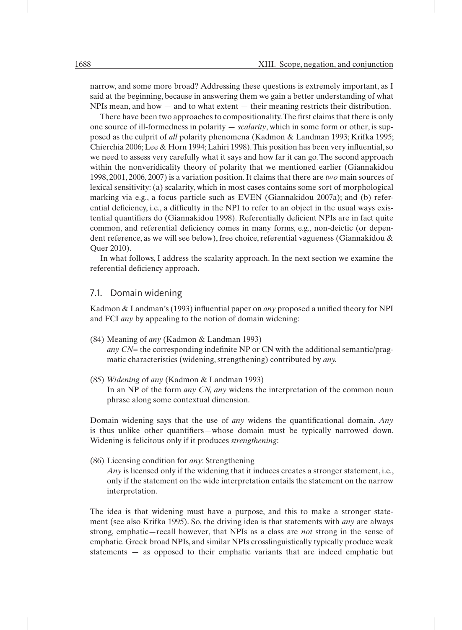narrow, and some more broad? Addressing these questions is extremely important, as I said at the beginning, because in answering them we gain a better understanding of what NPIs mean, and how — and to what extent — their meaning restricts their distribution.

There have been two approaches to compositionality. The first claims that there is only one source of ill-formedness in polarity — *scalarity*, which in some form or other, is supposed as the culprit of *all* polarity phenomena (Kadmon & Landman 1993; Krifka 1995; Chierchia 2006; Lee & Horn 1994; Lahiri 1998). This position has been very influential, so we need to assess very carefully what it says and how far it can go. The second approach within the nonveridicality theory of polarity that we mentioned earlier (Giannakidou 1998, 2001, 2006, 2007) is a variation position. It claims that there are *two* main sources of lexical sensitivity: (a) scalarity, which in most cases contains some sort of morphological marking via e.g., a focus particle such as EVEN (Giannakidou 2007a); and (b) referential deficiency, i.e., a difficulty in the NPI to refer to an object in the usual ways existential quantifiers do (Giannakidou 1998). Referentially deficient NPIs are in fact quite common, and referential deficiency comes in many forms, e.g., non-deictic (or dependent reference, as we will see below), free choice, referential vagueness (Giannakidou & Quer 2010).

In what follows, I address the scalarity approach. In the next section we examine the referential deficiency approach.

### 7.1. Domain widening

Kadmon & Landman's (1993) influential paper on *any* proposed a unified theory for NPI and FCI *any* by appealing to the notion of domain widening:

(84) Meaning of *any* (Kadmon & Landman 1993)

*any CN*= the corresponding indefinite NP or CN with the additional semantic/pragmatic characteristics (widening, strengthening) contributed by *any.*

(85) *Widening* of *any* (Kadmon & Landman 1993) In an NP of the form *any CN, any* widens the interpretation of the common noun phrase along some contextual dimension.

Domain widening says that the use of *any* widens the quantificational domain. *Any* is thus unlike other quantifiers—whose domain must be typically narrowed down. Widening is felicitous only if it produces *strengthening*:

(86) Licensing condition for *any*: Strengthening

 *Any* is licensed only if the widening that it induces creates a stronger statement, i.e., only if the statement on the wide interpretation entails the statement on the narrow interpretation.

The idea is that widening must have a purpose, and this to make a stronger statement (see also Krifka 1995). So, the driving idea is that statements with *any* are always strong, emphatic—recall however, that NPIs as a class are *not* strong in the sense of emphatic. Greek broad NPIs, and similar NPIs crosslinguistically typically produce weak statements — as opposed to their emphatic variants that are indeed emphatic but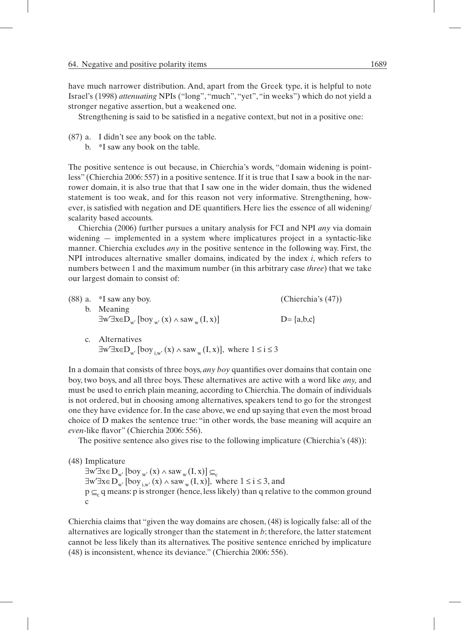have much narrower distribution. And, apart from the Greek type, it is helpful to note Israel's (1998) *attenuating* NPIs ("long", "much", "yet", "in weeks") which do not yield a stronger negative assertion, but a weakened one.

Strengthening is said to be satisfied in a negative context, but not in a positive one:

- (87) a. I didn't see any book on the table.
	- b. \*I saw any book on the table.

The positive sentence is out because, in Chierchia's words, "domain widening is pointless" (Chierchia 2006: 557) in a positive sentence. If it is true that I saw a book in the narrower domain, it is also true that that I saw one in the wider domain, thus the widened statement is too weak, and for this reason not very informative. Strengthening, however, is satisfied with negation and DE quantifiers. Here lies the essence of all widening/ scalarity based accounts.

Chierchia (2006) further pursues a unitary analysis for FCI and NPI *any* via domain widening — implemented in a system where implicatures project in a syntactic-like manner. Chierchia excludes *any* in the positive sentence in the following way. First, the NPI introduces alternative smaller domains, indicated by the index *i*, which refers to numbers between 1 and the maximum number (in this arbitrary case *three*) that we take our largest domain to consist of:

| $(88)$ a. $*$ I saw any boy.                                                | (Chierchia's $(47)$ ) |
|-----------------------------------------------------------------------------|-----------------------|
| b. Meaning                                                                  |                       |
| $\exists w' \exists x \in D_{w'}$ [boy $_{w'}(x) \wedge$ saw $_{w}(I, x)$ ] | $D = \{a,b,c\}$       |
|                                                                             |                       |

 c. Alternatives  $\exists w' \exists x \in D_{w'}$  [boy  $_{i,w'}(x) \wedge \text{saw}_w(I, x)$ ], where  $1 \le i \le 3$ 

In a domain that consists of three boys, *any boy* quantifies over domains that contain one boy, two boys, and all three boys. These alternatives are active with a word like *any,* and must be used to enrich plain meaning, according to Chierchia. The domain of individuals is not ordered, but in choosing among alternatives, speakers tend to go for the strongest one they have evidence for. In the case above, we end up saying that even the most broad choice of D makes the sentence true: "in other words, the base meaning will acquire an *even*-like flavor" (Chierchia 2006: 556).

The positive sentence also gives rise to the following implicature (Chierchia's (48)):

(48) Implicature

 $\exists w' \exists x \in D_{w'}$ [boy  $_{w'}(x) \wedge saw_w(I, x)] \subseteq_c$ ∃w′∃x∈ D<sub>w</sub>′ [boy<sub>i,w′</sub> (x)  $\land$  saw<sub>w</sub>(I, x)], where 1 ≤ i ≤ 3, and  $p \subseteq_c q$  means: p is stronger (hence, less likely) than q relative to the common ground c

Chierchia claims that "given the way domains are chosen, (48) is logically false: all of the alternatives are logically stronger than the statement in *b*; therefore, the latter statement cannot be less likely than its alternatives. The positive sentence enriched by implicature (48) is inconsistent, whence its deviance." (Chierchia 2006: 556).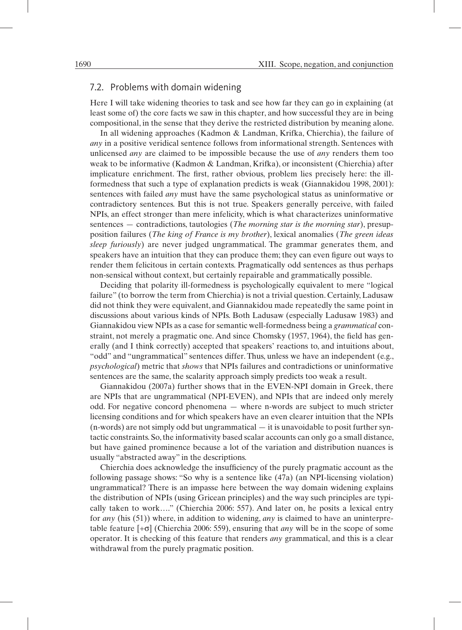## 7.2. Problems with domain widening

Here I will take widening theories to task and see how far they can go in explaining (at least some of) the core facts we saw in this chapter, and how successful they are in being compositional, in the sense that they derive the restricted distribution by meaning alone.

In all widening approaches (Kadmon & Landman, Krifka, Chierchia), the failure of *any* in a positive veridical sentence follows from informational strength. Sentences with unlicensed *any* are claimed to be impossible because the use of *any* renders them too weak to be informative (Kadmon & Landman, Krifka), or inconsistent (Chierchia) after implicature enrichment. The first, rather obvious, problem lies precisely here: the illformedness that such a type of explanation predicts is weak (Giannakidou 1998, 2001): sentences with failed *any* must have the same psychological status as uninformative or contradictory sentences. But this is not true. Speakers generally perceive, with failed NPIs, an effect stronger than mere infelicity, which is what characterizes uninformative sentences — contradictions, tautologies (*The morning star is the morning star*), presupposition failures (*The king of France is my brother*), lexical anomalies (*The green ideas sleep furiously*) are never judged ungrammatical. The grammar generates them, and speakers have an intuition that they can produce them; they can even figure out ways to render them felicitous in certain contexts. Pragmatically odd sentences as thus perhaps non-sensical without context, but certainly repairable and grammatically possible.

Deciding that polarity ill-formedness is psychologically equivalent to mere "logical failure" (to borrow the term from Chierchia) is not a trivial question. Certainly, Ladusaw did not think they were equivalent, and Giannakidou made repeatedly the same point in discussions about various kinds of NPIs. Both Ladusaw (especially Ladusaw 1983) and Giannakidou view NPIs as a case for semantic well-formedness being a *grammatical* constraint, not merely a pragmatic one. And since Chomsky (1957, 1964), the field has generally (and I think correctly) accepted that speakers' reactions to, and intuitions about, "odd" and "ungrammatical" sentences differ. Thus, unless we have an independent (e.g., *psychological*) metric that *shows* that NPIs failures and contradictions or uninformative sentences are the same, the scalarity approach simply predicts too weak a result.

Giannakidou (2007a) further shows that in the EVEN-NPI domain in Greek, there are NPIs that are ungrammatical (NPI-EVEN), and NPIs that are indeed only merely odd. For negative concord phenomena — where n-words are subject to much stricter licensing conditions and for which speakers have an even clearer intuition that the NPIs  $(n$ -words) are not simply odd but ungrammatical  $-$  it is unavoidable to posit further syntactic constraints. So, the informativity based scalar accounts can only go a small distance, but have gained prominence because a lot of the variation and distribution nuances is usually "abstracted away" in the descriptions.

Chierchia does acknowledge the insufficiency of the purely pragmatic account as the following passage shows: "So why is a sentence like (47a) (an NPI-licensing violation) ungrammatical? There is an impasse here between the way domain widening explains the distribution of NPIs (using Gricean principles) and the way such principles are typically taken to work…." (Chierchia 2006: 557). And later on, he posits a lexical entry for *any* (his (51)) where, in addition to widening, *any* is claimed to have an uninterpretable feature [+σ] (Chierchia 2006: 559), ensuring that *any* will be in the scope of some operator. It is checking of this feature that renders *any* grammatical, and this is a clear withdrawal from the purely pragmatic position.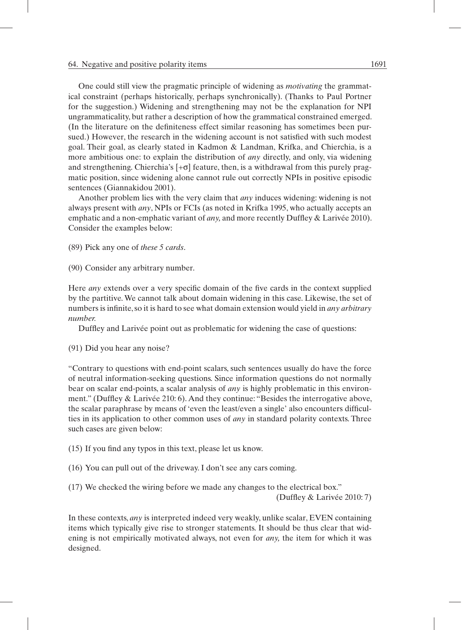One could still view the pragmatic principle of widening as *motivating* the grammatical constraint (perhaps historically, perhaps synchronically). (Thanks to Paul Portner for the suggestion.) Widening and strengthening may not be the explanation for NPI ungrammaticality, but rather a description of how the grammatical constrained emerged. (In the literature on the definiteness effect similar reasoning has sometimes been pursued.) However, the research in the widening account is not satisfied with such modest goal. Their goal, as clearly stated in Kadmon & Landman, Krifka, and Chierchia, is a more ambitious one: to explain the distribution of *any* directly, and only, via widening and strengthening. Chierchia's  $[+\sigma]$  feature, then, is a withdrawal from this purely pragmatic position, since widening alone cannot rule out correctly NPIs in positive episodic sentences (Giannakidou 2001).

Another problem lies with the very claim that *any* induces widening: widening is not always present with *any*, NPIs or FCIs (as noted in Krifka 1995, who actually accepts an emphatic and a non-emphatic variant of *any,* and more recently Duffley & Larivée 2010). Consider the examples below:

(89) Pick any one of *these 5 cards*.

(90) Consider any arbitrary number.

Here *any* extends over a very specific domain of the five cards in the context supplied by the partitive. We cannot talk about domain widening in this case. Likewise, the set of numbers is infinite, so it is hard to see what domain extension would yield in *any arbitrary number.*

Duffley and Larivée point out as problematic for widening the case of questions:

(91) Did you hear any noise?

"Contrary to questions with end-point scalars, such sentences usually do have the force of neutral information-seeking questions. Since information questions do not normally bear on scalar end-points, a scalar analysis of *any* is highly problematic in this environment." (Duffley & Larivée 210: 6). And they continue: "Besides the interrogative above, the scalar paraphrase by means of 'even the least/even a single' also encounters difficulties in its application to other common uses of *any* in standard polarity contexts. Three such cases are given below:

 $(15)$  If you find any typos in this text, please let us know.

(16) You can pull out of the driveway. I don't see any cars coming.

(17) We checked the wiring before we made any changes to the electrical box." (Duffley & Larivée 2010: 7)

In these contexts, *any* is interpreted indeed very weakly, unlike scalar, EVEN containing items which typically give rise to stronger statements. It should be thus clear that widening is not empirically motivated always, not even for *any,* the item for which it was designed.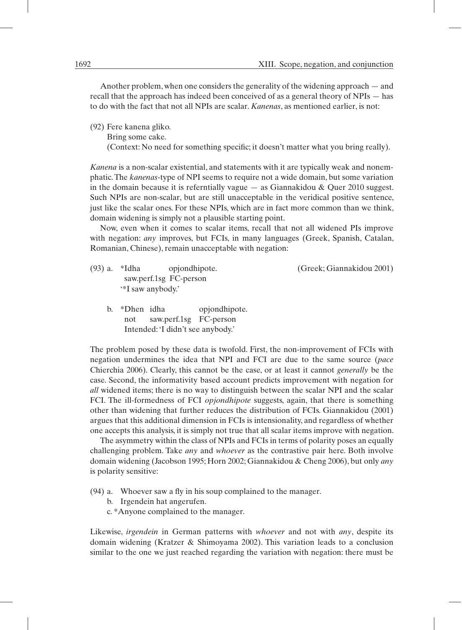Another problem, when one considers the generality of the widening approach — and recall that the approach has indeed been conceived of as a general theory of NPIs — has to do with the fact that not all NPIs are scalar. *Kanenas*, as mentioned earlier, is not:

(92) Fere kanena gliko.

Bring some cake.

(Context: No need for something specific; it doesn't matter what you bring really).

*Kanena* is a non-scalar existential, and statements with it are typically weak and nonemphatic. The *kanenas*-type of NPI seems to require not a wide domain, but some variation in the domain because it is referntially vague  $-$  as Giannakidou & Quer 2010 suggest. Such NPIs are non-scalar, but are still unacceptable in the veridical positive sentence, just like the scalar ones. For these NPIs, which are in fact more common than we think, domain widening is simply not a plausible starting point.

Now, even when it comes to scalar items, recall that not all widened PIs improve with negation: *any* improves, but FCIs, in many languages (Greek, Spanish, Catalan, Romanian, Chinese), remain unacceptable with negation:

(93) a. \*Idha opjondhipote. (Greek; Giannakidou 2001) saw.perf.1sg FC-person '\*I saw anybody.'

 b. \*Dhen idha opjondhipote. not saw.perf.1sg FC-person Intended: 'I didn't see anybody.'

The problem posed by these data is twofold. First, the non-improvement of FCIs with negation undermines the idea that NPI and FCI are due to the same source (*pace* Chierchia 2006). Clearly, this cannot be the case, or at least it cannot *generally* be the case. Second, the informativity based account predicts improvement with negation for *all* widened items; there is no way to distinguish between the scalar NPI and the scalar FCI. The ill-formedness of FCI *opjondhipote* suggests, again, that there is something other than widening that further reduces the distribution of FCIs. Giannakidou (2001) argues that this additional dimension in FCIs is intensionality, and regardless of whether one accepts this analysis, it is simply not true that all scalar items improve with negation.

The asymmetry within the class of NPIs and FCIs in terms of polarity poses an equally challenging problem. Take *any* and *whoever* as the contrastive pair here. Both involve domain widening (Jacobson 1995; Horn 2002; Giannakidou & Cheng 2006), but only *any*  is polarity sensitive:

- (94) a. Whoever saw a fly in his soup complained to the manager.
	- b. Irgendein hat angerufen.
	- c. \*Anyone complained to the manager.

Likewise, *irgendein* in German patterns with *whoever* and not with *any*, despite its domain widening (Kratzer & Shimoyama 2002). This variation leads to a conclusion similar to the one we just reached regarding the variation with negation: there must be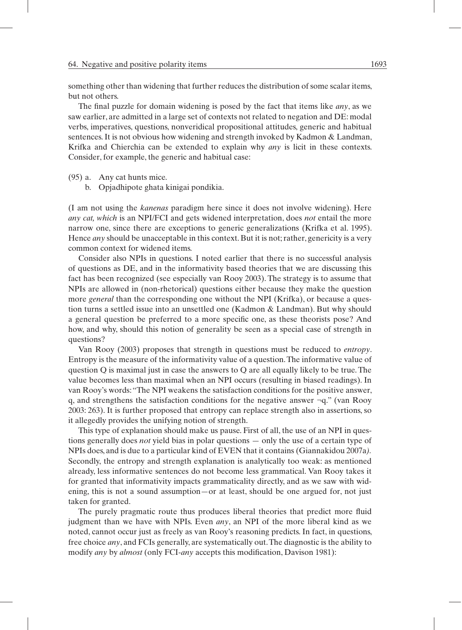something other than widening that further reduces the distribution of some scalar items, but not others.

The final puzzle for domain widening is posed by the fact that items like *any*, as we saw earlier, are admitted in a large set of contexts not related to negation and DE: modal verbs, imperatives, questions, nonveridical propositional attitudes, generic and habitual sentences. It is not obvious how widening and strength invoked by Kadmon & Landman, Krifka and Chierchia can be extended to explain why *any* is licit in these contexts. Consider, for example, the generic and habitual case:

- (95) a. Any cat hunts mice.
	- b. Opjadhipote ghata kinigai pondikia.

(I am not using the *kanenas* paradigm here since it does not involve widening). Here *any cat, which* is an NPI/FCI and gets widened interpretation, does *not* entail the more narrow one, since there are exceptions to generic generalizations (Krifka et al. 1995). Hence *any* should be unacceptable in this context. But it is not; rather, genericity is a very common context for widened items.

Consider also NPIs in questions. I noted earlier that there is no successful analysis of questions as DE, and in the informativity based theories that we are discussing this fact has been recognized (see especially van Rooy 2003). The strategy is to assume that NPIs are allowed in (non-rhetorical) questions either because they make the question more *general* than the corresponding one without the NPI (Krifka), or because a question turns a settled issue into an unsettled one (Kadmon & Landman). But why should a general question be preferred to a more specific one, as these theorists pose? And how, and why, should this notion of generality be seen as a special case of strength in questions?

Van Rooy (2003) proposes that strength in questions must be reduced to *entropy*. Entropy is the measure of the informativity value of a question. The informative value of question Q is maximal just in case the answers to Q are all equally likely to be true. The value becomes less than maximal when an NPI occurs (resulting in biased readings). In van Rooy's words: "The NPI weakens the satisfaction conditions for the positive answer, q, and strengthens the satisfaction conditions for the negative answer  $\neg q$ ." (van Rooy 2003: 263). It is further proposed that entropy can replace strength also in assertions, so it allegedly provides the unifying notion of strength.

This type of explanation should make us pause. First of all, the use of an NPI in questions generally does *not* yield bias in polar questions — only the use of a certain type of NPIs does, and is due to a particular kind of EVEN that it contains (Giannakidou 2007a*).* Secondly, the entropy and strength explanation is analytically too weak: as mentioned already, less informative sentences do not become less grammatical. Van Rooy takes it for granted that informativity impacts grammaticality directly, and as we saw with widening, this is not a sound assumption—or at least, should be one argued for, not just taken for granted.

The purely pragmatic route thus produces liberal theories that predict more fluid judgment than we have with NPIs. Even *any*, an NPI of the more liberal kind as we noted, cannot occur just as freely as van Rooy's reasoning predicts. In fact, in questions, free choice *any*, and FCIs generally, are systematically out. The diagnostic is the ability to modify *any* by *almost* (only FCI-*any* accepts this modification, Davison 1981):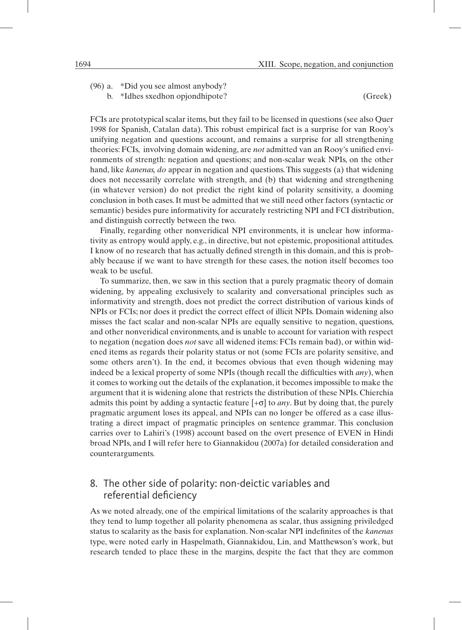- (96) a. \*Did you see almost anybody?
	- b. \*Idhes sxedhon opjondhipote? (Greek)

FCIs are prototypical scalar items, but they fail to be licensed in questions (see also Quer 1998 for Spanish, Catalan data). This robust empirical fact is a surprise for van Rooy's unifying negation and questions account, and remains a surprise for all strengthening theories: FCIs, involving domain widening, are *not* admitted van an Rooy's unified environments of strength: negation and questions; and non-scalar weak NPIs, on the other hand, like *kanenas, do* appear in negation and questions. This suggests (a) that widening does not necessarily correlate with strength, and (b) that widening and strengthening (in whatever version) do not predict the right kind of polarity sensitivity, a dooming conclusion in both cases. It must be admitted that we still need other factors (syntactic or semantic) besides pure informativity for accurately restricting NPI and FCI distribution, and distinguish correctly between the two.

Finally, regarding other nonveridical NPI environments, it is unclear how informativity as entropy would apply, e.g., in directive, but not epistemic, propositional attitudes. I know of no research that has actually defined strength in this domain, and this is probably because if we want to have strength for these cases, the notion itself becomes too weak to be useful.

To summarize, then, we saw in this section that a purely pragmatic theory of domain widening, by appealing exclusively to scalarity and conversational principles such as informativity and strength, does not predict the correct distribution of various kinds of NPIs or FCIs; nor does it predict the correct effect of illicit NPIs. Domain widening also misses the fact scalar and non-scalar NPIs are equally sensitive to negation, questions, and other nonveridical environments, and is unable to account for variation with respect to negation (negation does *not* save all widened items: FCIs remain bad), or within widened items as regards their polarity status or not (some FCIs are polarity sensitive, and some others aren't). In the end, it becomes obvious that even though widening may indeed be a lexical property of some NPIs (though recall the difficulties with *any*), when it comes to working out the details of the explanation, it becomes impossible to make the argument that it is widening alone that restricts the distribution of these NPIs. Chierchia admits this point by adding a syntactic feature [+σ] to *any*. But by doing that, the purely pragmatic argument loses its appeal, and NPIs can no longer be offered as a case illustrating a direct impact of pragmatic principles on sentence grammar. This conclusion carries over to Lahiri's (1998) account based on the overt presence of EVEN in Hindi broad NPIs, and I will refer here to Giannakidou (2007a) for detailed consideration and counterarguments.

## 8. The other side of polarity: non-deictic variables and referential deficiency

As we noted already, one of the empirical limitations of the scalarity approaches is that they tend to lump together all polarity phenomena as scalar, thus assigning priviledged status to scalarity as the basis for explanation. Non-scalar NPI indefinites of the *kanenas* type, were noted early in Haspelmath, Giannakidou, Lin, and Matthewson's work, but research tended to place these in the margins, despite the fact that they are common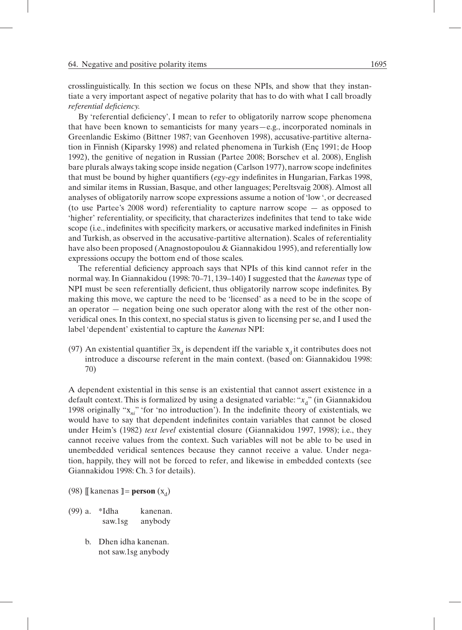crosslinguistically. In this section we focus on these NPIs, and show that they instantiate a very important aspect of negative polarity that has to do with what I call broadly *referential deficiency.* 

By 'referential deficiency', I mean to refer to obligatorily narrow scope phenomena that have been known to semanticists for many years—e.g., incorporated nominals in Greenlandic Eskimo (Bittner 1987; van Geenhoven 1998), accusative-partitive alternation in Finnish (Kiparsky 1998) and related phenomena in Turkish (Enç 1991; de Hoop 1992), the genitive of negation in Russian (Partee 2008; Borschev et al. 2008), English bare plurals always taking scope inside negation (Carlson 1977), narrow scope indefinites that must be bound by higher quantifiers (*egy-egy* indefinites in Hungarian, Farkas 1998, and similar items in Russian, Basque, and other languages; Pereltsvaig 2008). Almost all analyses of obligatorily narrow scope expressions assume a notion of 'low ', or decreased (to use Partee's 2008 word) referentiality to capture narrow scope — as opposed to 'higher' referentiality, or specificity, that characterizes indefinites that tend to take wide scope (i.e., indefinites with specificity markers, or accusative marked indefinites in Finish and Turkish, as observed in the accusative-partitive alternation). Scales of referentiality have also been proposed (Anagnostopoulou & Giannakidou 1995), and referentially low expressions occupy the bottom end of those scales.

The referential deficiency approach says that NPIs of this kind cannot refer in the normal way. In Giannakidou (1998: 70–71, 139–140) I suggested that the *kanenas* type of NPI must be seen referentially deficient, thus obligatorily narrow scope indefinites. By making this move, we capture the need to be 'licensed' as a need to be in the scope of an operator — negation being one such operator along with the rest of the other nonveridical ones. In this context, no special status is given to licensing per se, and I used the label 'dependent' existential to capture the *kanenas* NPI:

(97) An existential quantifier  $\exists x_d$  is dependent iff the variable  $x_d$  it contributes does not introduce a discourse referent in the main context. (based on: Giannakidou 1998: 70)

A dependent existential in this sense is an existential that cannot assert existence in a default context. This is formalized by using a designated variable: " $x_d$ " (in Giannakidou 1998 originally "x<sub>n</sub>" 'for 'no introduction'). In the indefinite theory of existentials, we would have to say that dependent indefinites contain variables that cannot be closed under Heim's (1982) *text level* existential closure (Giannakidou 1997, 1998); i.e., they cannot receive values from the context. Such variables will not be able to be used in unembedded veridical sentences because they cannot receive a value. Under negation, happily, they will not be forced to refer, and likewise in embedded contexts (see Giannakidou 1998: Ch. 3 for details).

(98)  $\llbracket$  kanenas  $\rrbracket$  = **person**  $(x_4)$ 

- (99) a. \*Idha kanenan. saw.1sg anybody
	- b. Dhen idha kanenan. not saw.1sg anybody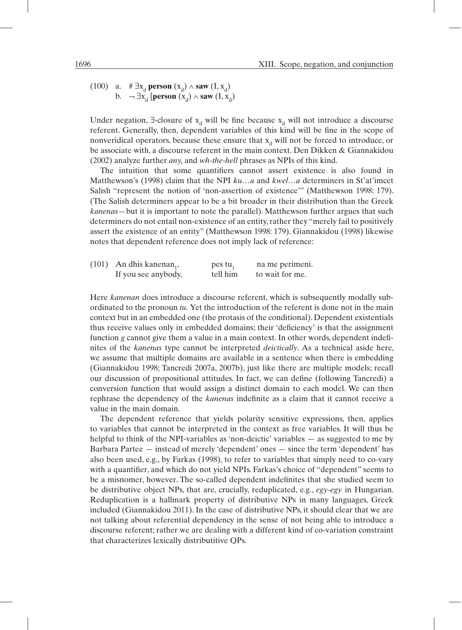(100) a.  $\#\exists x_d$  **person**  $(x_d) \wedge$  **saw**  $(I, x_d)$ b.  $\neg \exists x_d$  [**person**  $(x_d) \land$  **saw**  $(I, x_d)$ 

Under negation,  $\exists$ -closure of x<sub>d</sub> will be fine because x<sub>d</sub> will not introduce a discourse referent. Generally, then, dependent variables of this kind will be fine in the scope of nonveridical operators, because these ensure that  $x_d$  will not be forced to introduce, or be associate with, a discourse referent in the main context. Den Dikken & Giannakidou (2002) analyze further *any,* and *wh-the-hell* phrases as NPIs of this kind.

The intuition that some quantifiers cannot assert existence is also found in Matthewson's (1998) claim that the NPI *ku…a* and *kwel…a* determiners in St'at'imcet Salish "represent the notion of 'non-assertion of existence'" (Matthewson 1998: 179). (The Salish determiners appear to be a bit broader in their distribution than the Greek *kanenas*—but it is important to note the parallel). Matthewson further argues that such determiners do not entail non-existence of an entity, rather they "merely fail to positively assert the existence of an entity" (Matthewson 1998: 179). Giannakidou (1998) likewise notes that dependent reference does not imply lack of reference:

| $(101)$ An dhis kanenan <sub>1</sub> , | pes tu,  | na me perimeni. |
|----------------------------------------|----------|-----------------|
| If you see anybody,                    | tell him | to wait for me. |

Here *kanenan* does introduce a discourse referent, which is subsequently modally subordinated to the pronoun *tu.* Yet the introduction of the referent is done not in the main context but in an embedded one (the protasis of the conditional). Dependent existentials thus receive values only in embedded domains; their 'deficiency' is that the assignment function  $g$  cannot give them a value in a main context. In other words, dependent indefinites of the *kanenas* type cannot be interpreted *deictically*. As a technical aside here, we assume that multiple domains are available in a sentence when there is embedding (Giannakidou 1998; Tancredi 2007a, 2007b), just like there are multiple models; recall our discussion of propositional attitudes. In fact, we can define (following Tancredi) a conversion function that would assign a distinct domain to each model. We can then rephrase the dependency of the *kanenas* indefinite as a claim that it cannot receive a value in the main domain.

The dependent reference that yields polarity sensitive expressions, then, applies to variables that cannot be interpreted in the context as free variables. It will thus be helpful to think of the NPI-variables as 'non-deictic' variables — as suggested to me by Barbara Partee — instead of merely 'dependent' ones — since the term 'dependent' has also been used, e.g., by Farkas (1998), to refer to variables that simply need to co-vary with a quantifier, and which do not yield NPIs. Farkas's choice of "dependent" seems to be a misnomer, however. The so-called dependent indefinites that she studied seem to be distributive object NPs, that are, crucially, reduplicated, e.g., *egy-egy* in Hungarian. Reduplication is a hallmark property of distributive NPs in many languages, Greek included (Giannakidou 2011). In the case of distributive NPs, it should clear that we are not talking about referential dependency in the sense of not being able to introduce a discourse referent; rather we are dealing with a different kind of co-variation constraint that characterizes lexically distributitive QPs.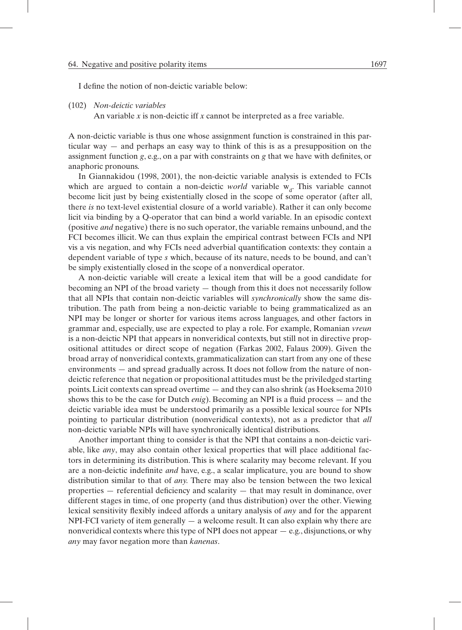I define the notion of non-deictic variable below:

#### (102) *Non-deictic variables*

An variable *x* is non-deictic iff *x* cannot be interpreted as a free variable.

A non-deictic variable is thus one whose assignment function is constrained in this particular way — and perhaps an easy way to think of this is as a presupposition on the assignment function  $g$ , e.g., on a par with constraints on  $g$  that we have with definites, or anaphoric pronouns.

In Giannakidou (1998, 2001), the non-deictic variable analysis is extended to FCIs which are argued to contain a non-deictic *world* variable  $w_d$ . This variable cannot become licit just by being existentially closed in the scope of some operator (after all, there *is* no text-level existential closure of a world variable). Rather it can only become licit via binding by a Q-operator that can bind a world variable. In an episodic context (positive *and* negative) there is no such operator, the variable remains unbound, and the FCI becomes illicit. We can thus explain the empirical contrast between FCIs and NPI vis a vis negation, and why FCIs need adverbial quantification contexts: they contain a dependent variable of type *s* which, because of its nature, needs to be bound, and can't be simply existentially closed in the scope of a nonverdical operator.

A non-deictic variable will create a lexical item that will be a good candidate for becoming an NPI of the broad variety — though from this it does not necessarily follow that all NPIs that contain non-deictic variables will *synchronically* show the same distribution. The path from being a non-deictic variable to being grammaticalized as an NPI may be longer or shorter for various items across languages, and other factors in grammar and, especially, use are expected to play a role. For example, Romanian *vreun*  is a non-deictic NPI that appears in nonveridical contexts, but still not in directive propositional attitudes or direct scope of negation (Farkas 2002, Falaus 2009). Given the broad array of nonveridical contexts, grammaticalization can start from any one of these environments — and spread gradually across. It does not follow from the nature of nondeictic reference that negation or propositional attitudes must be the priviledged starting points. Licit contexts can spread overtime — and they can also shrink (as Hoeksema 2010 shows this to be the case for Dutch *enig*). Becoming an NPI is a fluid process — and the deictic variable idea must be understood primarily as a possible lexical source for NPIs pointing to particular distribution (nonveridical contexts), not as a predictor that *all* non-deictic variable NPIs will have synchronically identical distributions.

Another important thing to consider is that the NPI that contains a non-deictic variable, like *any*, may also contain other lexical properties that will place additional factors in determining its distribution. This is where scalarity may become relevant. If you are a non-deictic indefinite *and* have, e.g., a scalar implicature, you are bound to show distribution similar to that of *any.* There may also be tension between the two lexical properties  $-$  referential deficiency and scalarity  $-$  that may result in dominance, over different stages in time, of one property (and thus distribution) over the other. Viewing lexical sensitivity flexibly indeed affords a unitary analysis of *any* and for the apparent  $NPI-FCI$  variety of item generally  $-$  a welcome result. It can also explain why there are nonveridical contexts where this type of NPI does not appear — e.g., disjunctions, or why *any* may favor negation more than *kanenas*.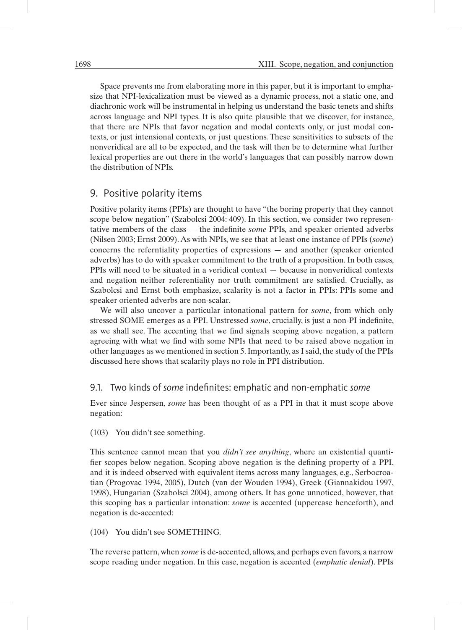Space prevents me from elaborating more in this paper, but it is important to emphasize that NPI-lexicalization must be viewed as a dynamic process, not a static one, and diachronic work will be instrumental in helping us understand the basic tenets and shifts across language and NPI types. It is also quite plausible that we discover, for instance, that there are NPIs that favor negation and modal contexts only, or just modal contexts, or just intensional contexts, or just questions. These sensitivities to subsets of the nonveridical are all to be expected, and the task will then be to determine what further lexical properties are out there in the world's languages that can possibly narrow down the distribution of NPIs.

## 9. Positive polarity items

Positive polarity items (PPIs) are thought to have "the boring property that they cannot scope below negation" (Szabolcsi 2004: 409). In this section, we consider two representative members of the class — the indefinite *some* PPIs, and speaker oriented adverbs (Nilsen 2003; Ernst 2009). As with NPIs, we see that at least one instance of PPIs (*some*) concerns the referntiality properties of expressions — and another (speaker oriented adverbs) has to do with speaker commitment to the truth of a proposition. In both cases, PPIs will need to be situated in a veridical context — because in nonveridical contexts and negation neither referentiality nor truth commitment are satisfied. Crucially, as Szabolcsi and Ernst both emphasize, scalarity is not a factor in PPIs: PPIs some and speaker oriented adverbs are non-scalar.

We will also uncover a particular intonational pattern for *some*, from which only stressed SOME emerges as a PPI. Unstressed *some*, crucially, is just a non-PI indefinite, as we shall see. The accenting that we find signals scoping above negation, a pattern agreeing with what we find with some NPIs that need to be raised above negation in other languages as we mentioned in section 5. Importantly, as I said, the study of the PPIs discussed here shows that scalarity plays no role in PPI distribution.

### 9.1. Two kinds of *some* indefinites: emphatic and non-emphatic *some*

Ever since Jespersen, *some* has been thought of as a PPI in that it must scope above negation:

### (103) You didn't see something.

This sentence cannot mean that you *didn't see anything*, where an existential quantifier scopes below negation. Scoping above negation is the defining property of a PPI, and it is indeed observed with equivalent items across many languages, e.g., Serbocroatian (Progovac 1994, 2005), Dutch (van der Wouden 1994), Greek (Giannakidou 1997, 1998), Hungarian (Szabolsci 2004), among others. It has gone unnoticed, however, that this scoping has a particular intonation: *some* is accented (uppercase henceforth), and negation is de-accented:

#### (104) You didn't see SOMETHING.

The reverse pattern, when *some* is de-accented, allows, and perhaps even favors, a narrow scope reading under negation. In this case, negation is accented (*emphatic denial*). PPIs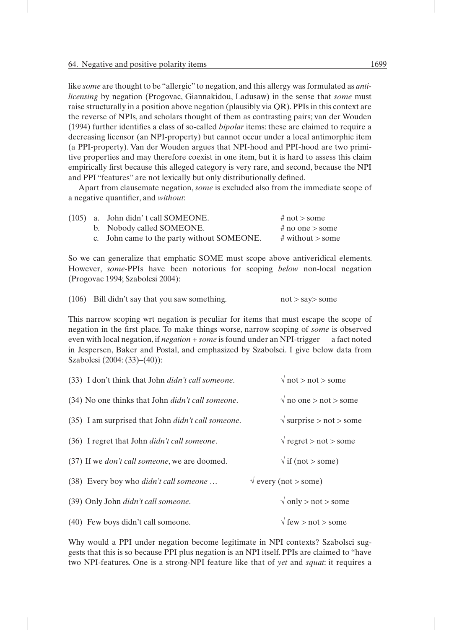like *some* are thought to be "allergic" to negation, and this allergy was formulated as *antilicensing* by negation (Progovac, Giannakidou, Ladusaw) in the sense that *some* must raise structurally in a position above negation (plausibly via QR). PPIs in this context are the reverse of NPIs, and scholars thought of them as contrasting pairs; van der Wouden (1994) further identifies a class of so-called *bipolar* items: these are claimed to require a decreasing licensor (an NPI-property) but cannot occur under a local antimorphic item (a PPI-property). Van der Wouden argues that NPI-hood and PPI-hood are two primitive properties and may therefore coexist in one item, but it is hard to assess this claim empirically first because this alleged category is very rare, and second, because the NPI and PPI "features" are not lexically but only distributionally defined.

Apart from clausemate negation, *some* is excluded also from the immediate scope of a negative quantifier, and *without*:

|  | (105) a. John didn't call SOMEONE.         | # not > some          |
|--|--------------------------------------------|-----------------------|
|  | b. Nobody called SOMEONE.                  | # no one > some       |
|  | c. John came to the party without SOMEONE. | $\#$ without $>$ some |

So we can generalize that emphatic SOME must scope above antiveridical elements. However, *some*-PPIs have been notorious for scoping *below* non-local negation (Progovac 1994; Szabolcsi 2004):

|  |  | (106) Bill didn't say that you saw something. | $not >$ say $>$ some |
|--|--|-----------------------------------------------|----------------------|
|--|--|-----------------------------------------------|----------------------|

This narrow scoping wrt negation is peculiar for items that must escape the scope of negation in the first place. To make things worse, narrow scoping of *some* is observed even with local negation, if *negation + some* is found under an NPI-trigger — a fact noted in Jespersen, Baker and Postal, and emphasized by Szabolsci. I give below data from Szabolcsi (2004: (33)–(40)):

| (33) I don't think that John didn't call someone.          | $\sqrt{\text{not}} > \text{not} > \text{some}$      |
|------------------------------------------------------------|-----------------------------------------------------|
| (34) No one thinks that John didn't call someone.          | $\sqrt{\text{no one}}$ > not > some                 |
| (35) I am surprised that John <i>didn't call someone</i> . | $\sqrt{\text{surprise}} > \text{not} > \text{some}$ |
| (36) I regret that John didn't call someone.               | $\sqrt{\text{regret}} > \text{not} > \text{some}$   |
| (37) If we <i>don't call someone</i> , we are doomed.      | $\sqrt{\text{if (not > some)}}$                     |
| (38) Every boy who <i>didn't call someone</i>              | $\sqrt{\text{every}}$ (not > some)                  |
| (39) Only John didn't call someone.                        | $\sqrt{$ only > not > some                          |
| (40) Few boys didn't call someone.                         | $\sqrt{\text{few}} > \text{not} > \text{some}$      |

Why would a PPI under negation become legitimate in NPI contexts? Szabolsci suggests that this is so because PPI plus negation is an NPI itself. PPIs are claimed to "have two NPI-features. One is a strong-NPI feature like that of *yet* and *squat*: it requires a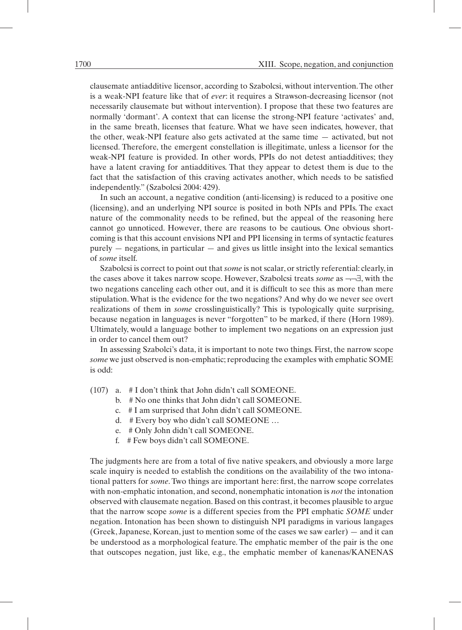clausemate antiadditive licensor, according to Szabolcsi, without intervention. The other is a weak-NPI feature like that of *ever*: it requires a Strawson-decreasing licensor (not necessarily clausemate but without intervention). I propose that these two features are normally 'dormant'. A context that can license the strong-NPI feature 'activates' and, in the same breath, licenses that feature. What we have seen indicates, however, that the other, weak-NPI feature also gets activated at the same time — activated, but not licensed. Therefore, the emergent constellation is illegitimate, unless a licensor for the weak-NPI feature is provided. In other words, PPIs do not detest antiadditives; they have a latent craving for antiadditives. That they appear to detest them is due to the fact that the satisfaction of this craving activates another, which needs to be satisfied independently." (Szabolcsi 2004: 429).

In such an account, a negative condition (anti-licensing) is reduced to a positive one (licensing), and an underlying NPI source is posited in both NPIs and PPIs. The exact nature of the commonality needs to be refined, but the appeal of the reasoning here cannot go unnoticed. However, there are reasons to be cautious. One obvious shortcoming is that this account envisions NPI and PPI licensing in terms of syntactic features purely  $-$  negations, in particular  $-$  and gives us little insight into the lexical semantics of *some* itself.

Szabolcsi is correct to point out that *some* is not scalar, or strictly referential: clearly, in the cases above it takes narrow scope. However, Szabolcsi treats *some* as ¬¬∃, with the two negations canceling each other out, and it is difficult to see this as more than mere stipulation. What is the evidence for the two negations? And why do we never see overt realizations of them in *some* crosslinguistically? This is typologically quite surprising, because negation in languages is never "forgotten" to be marked, if there (Horn 1989). Ultimately, would a language bother to implement two negations on an expression just in order to cancel them out?

In assessing Szabolci's data, it is important to note two things. First, the narrow scope *some* we just observed is non-emphatic; reproducing the examples with emphatic SOME is odd:

- (107) a. # I don't think that John didn't call SOMEONE.
	- b. # No one thinks that John didn't call SOMEONE.
	- c. # I am surprised that John didn't call SOMEONE.
	- d. # Every boy who didn't call SOMEONE …
	- e. # Only John didn't call SOMEONE.
	- f. # Few boys didn't call SOMEONE.

The judgments here are from a total of five native speakers, and obviously a more large scale inquiry is needed to establish the conditions on the availability of the two intonational patters for *some*. Two things are important here: first, the narrow scope correlates with non-emphatic intonation, and second, nonemphatic intonation is *not* the intonation observed with clausemate negation. Based on this contrast, it becomes plausible to argue that the narrow scope *some* is a different species from the PPI emphatic *SOME* under negation. Intonation has been shown to distinguish NPI paradigms in various langages (Greek, Japanese, Korean, just to mention some of the cases we saw earler) — and it can be understood as a morphological feature. The emphatic member of the pair is the one that outscopes negation, just like, e.g., the emphatic member of kanenas/KANENAS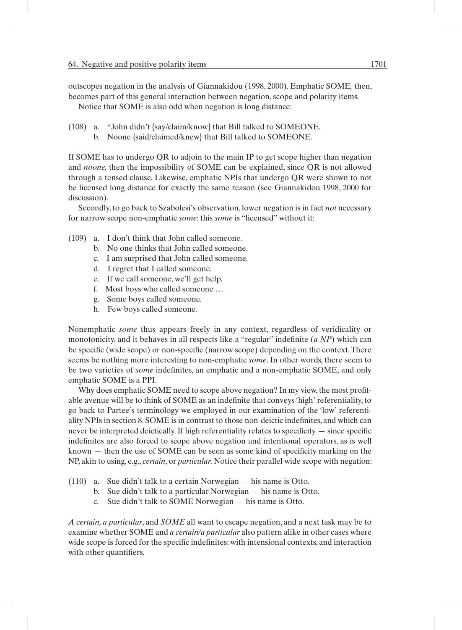outscopes negation in the analysis of Giannakidou (1998, 2000). Emphatic SOME*,* then, becomes part of this general interaction between negation, scope and polarity items. Notice that SOME is also odd when negation is long distance:

- (108) a. \*John didn't {say/claim/know} that Bill talked to SOMEONE*.*
	- b. Noone {said/claimed/knew} that Bill talked to SOMEONE.

If SOME has to undergo QR to adjoin to the main IP to get scope higher than negation and *noone,* then the impossibility of SOME can be explained, since QR is not allowed through a tensed clause. Likewise, emphatic NPIs that undergo QR were shown to not be licensed long distance for exactly the same reason (see Giannakidou 1998, 2000 for discussion).

Secondly, to go back to Szabolcsi's observation, lower negation is in fact *not* necessary for narrow scope non-emphatic *some*: this *some* is "licensed" without it:

- (109) a. I don't think that John called someone.
	- b. No one thinks that John called someone.
	- c. I am surprised that John called someone.
	- d. I regret that I called someone.
	- e. If we call someone, we'll get help.
	- f. Most boys who called someone …
	- g. Some boys called someone.
	- h. Few boys called someone.

Nonemphatic *some* thus appears freely in any context, regardless of veridicality or monotonicity, and it behaves in all respects like a "regular" indefinite (*a NP*) which can be specific (wide scope) or non-specific (narrow scope) depending on the context. There seems be nothing more interesting to non-emphatic *some*. In other words, there seem to be two varieties of *some* indefinites, an emphatic and a non-emphatic SOME, and only emphatic SOME is a PPI.

Why does emphatic SOME need to scope above negation? In my view, the most profitable avenue will be to think of SOME as an indefinite that conveys 'high' referentiality, to go back to Partee's terminology we employed in our examination of the 'low' referentiality NPIs in section 8. SOME is in contrast to those non-deictic indefinites, and which can never be interpreted deictically. If high referentiality relates to specificity  $-$  since specific indefinites are also forced to scope above negation and intentional operators, as is well known  $-$  then the use of SOME can be seen as some kind of specificity marking on the NP, akin to using, e.g., *certain*, or *particular*. Notice their parallel wide scope with negation:

- (110) a. Sue didn't talk to a certain Norwegian his name is Otto.
	- b. Sue didn't talk to a particular Norwegian his name is Otto.
	- c. Sue didn't talk to SOME Norwegian his name is Otto.

*A certain, a particular*, and *SOME* all want to escape negation, and a next task may be to examine whether SOME and *a certain/a particular* also pattern alike in other cases where wide scope is forced for the specific indefinites: with intensional contexts, and interaction with other quantifiers.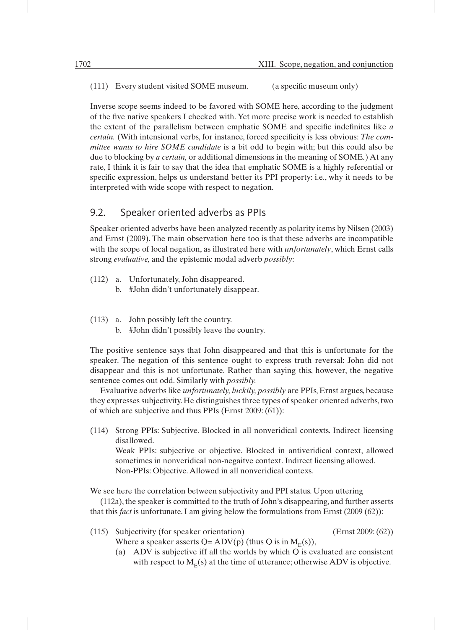(111) Every student visited SOME museum. (a specific museum only)

Inverse scope seems indeed to be favored with SOME here, according to the judgment of the five native speakers I checked with. Yet more precise work is needed to establish the extent of the parallelism between emphatic SOME and specific indefinites like *a certain.* (With intensional verbs, for instance, forced specificity is less obvious: The com*mittee wants to hire SOME candidate* is a bit odd to begin with; but this could also be due to blocking by *a certain,* or additional dimensions in the meaning of SOME*.*) At any rate, I think it is fair to say that the idea that emphatic SOME is a highly referential or specific expression, helps us understand better its PPI property: i.e., why it needs to be interpreted with wide scope with respect to negation.

## 9.2. Speaker oriented adverbs as PPIs

Speaker oriented adverbs have been analyzed recently as polarity items by Nilsen (2003) and Ernst (2009). The main observation here too is that these adverbs are incompatible with the scope of local negation, as illustrated here with *unfortunately*, which Ernst calls strong *evaluative,* and the epistemic modal adverb *possibly*:

- (112) a. Unfortunately, John disappeared.
	- b. #John didn't unfortunately disappear.
- (113) a. John possibly left the country.
	- b. #John didn't possibly leave the country.

The positive sentence says that John disappeared and that this is unfortunate for the speaker. The negation of this sentence ought to express truth reversal: John did not disappear and this is not unfortunate. Rather than saying this, however, the negative sentence comes out odd. Similarly with *possibly.*

Evaluative adverbs like *unfortunately, luckily, possibly* are PPIs, Ernst argues, because they expresses subjectivity. He distinguishes three types of speaker oriented adverbs, two of which are subjective and thus PPIs (Ernst 2009: (61)):

(114) Strong PPIs: Subjective. Blocked in all nonveridical contexts. Indirect licensing disallowed.

 Weak PPIs: subjective or objective. Blocked in antiveridical context, allowed sometimes in nonveridical non-negaitve context. Indirect licensing allowed. Non-PPIs: Objective. Allowed in all nonveridical contexs.

We see here the correlation between subjectivity and PPI status. Upon uttering

(112a), the speaker is committed to the truth of John's disappearing, and further asserts that this *fact* is unfortunate. I am giving below the formulations from Ernst (2009 (62)):

- (115) Subjectivity (for speaker orientation) (Ernst 2009: (62)) Where a speaker asserts Q= ADV(p) (thus Q is in  $M_E(s)$ ),
	- (a) ADV is subjective iff all the worlds by which Q is evaluated are consistent with respect to  $M<sub>E</sub>(s)$  at the time of utterance; otherwise ADV is objective.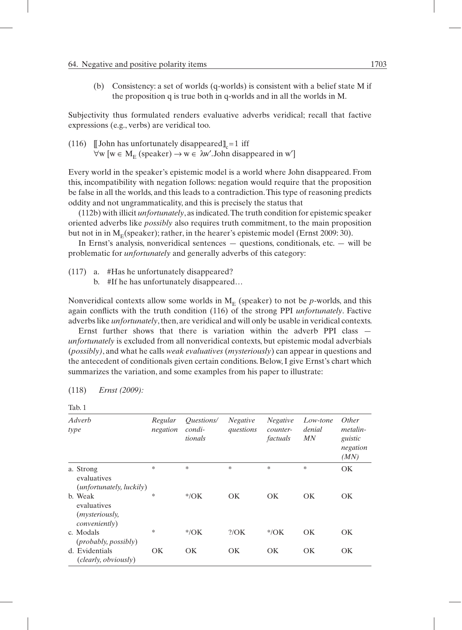(b) Consistency: a set of worlds (q-worlds) is consistent with a belief state M if the proposition q is true both in q-worlds and in all the worlds in M.

Subjectivity thus formulated renders evaluative adverbs veridical; recall that factive expressions (e.g., verbs) are veridical too.

(116) [John has unfortunately disappeared $\mathbb{I}_{c}$ =1 iff  $\forall w \,[w \in M_F$  (speaker)  $\rightarrow w \in \lambda w'.$  John disappeared in w']

Every world in the speaker's epistemic model is a world where John disappeared. From this, incompatibility with negation follows: negation would require that the proposition be false in all the worlds, and this leads to a contradiction. This type of reasoning predicts oddity and not ungrammaticality, and this is precisely the status that

(112b) with illicit *unfortunately*, as indicated. The truth condition for epistemic speaker oriented adverbs like *possibly* also requires truth commitment, to the main proposition but not in in  $M_E$ (speaker); rather, in the hearer's epistemic model (Ernst 2009: 30).

In Ernst's analysis, nonveridical sentences — questions, conditionals, etc. — will be problematic for *unfortunately* and generally adverbs of this category:

- (117) a. #Has he unfortunately disappeared?
	- b. #If he has unfortunately disappeared…

Nonveridical contexts allow some worlds in  $M<sub>E</sub>$  (speaker) to not be *p*-worlds, and this again conflicts with the truth condition (116) of the strong PPI *unfortunately*. Factive adverbs like *unfortunately*, then, are veridical and will only be usable in veridical contexts.

Ernst further shows that there is variation within the adverb PPI class *unfortunately* is excluded from all nonveridical contexts, but epistemic modal adverbials (*possibly)*, and what he calls *weak evaluatives* (*mysteriously*) can appear in questions and the antecedent of conditionals given certain conditions. Below, I give Ernst's chart which summarizes the variation, and some examples from his paper to illustrate:

| Adverb<br>type                                                           | Regular<br>negation | <i>Ouestions</i> /<br>condi-<br>tionals | <b>Negative</b><br>questions | <b>Negative</b><br>counter-<br>factuals | Low-tone<br>denial<br>MN          | Other<br>metalin-<br>guistic<br>negation<br>(MN) |
|--------------------------------------------------------------------------|---------------------|-----------------------------------------|------------------------------|-----------------------------------------|-----------------------------------|--------------------------------------------------|
| a. Strong<br>evaluatives<br>(unfortunately, luckily)                     | $\frac{1}{2}$       | $\frac{1}{2}$                           | $\ast$                       | *                                       | $\frac{d\mathbf{x}}{d\mathbf{x}}$ | OK                                               |
| b. Weak<br>evaluatives<br><i>(mysteriously,</i><br><i>conveniently</i> ) | *                   | $*$ /OK                                 | OK                           | OK                                      | OK                                | OK                                               |
| c. Modals<br>(probably, possibly)                                        | ∗                   | $*$ /OK                                 | ?/OK                         | $*$ /OK                                 | OK                                | ОK                                               |
| d. Evidentials<br>(clearly, obviously)                                   | OK                  | OK                                      | OK                           | OK                                      | OK                                | OK                                               |

| (118) |  | <i>Ernst</i> $(2009)$ : |
|-------|--|-------------------------|
|-------|--|-------------------------|

Tab. 1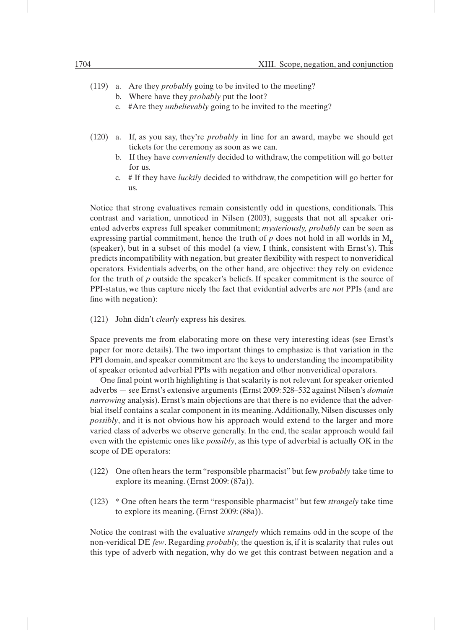- (119) a. Are they *probabl*y going to be invited to the meeting?
	- b. Where have they *probably* put the loot?
	- c. #Are they *unbelievably* going to be invited to the meeting?
- (120) a. If, as you say, they're *probably* in line for an award, maybe we should get tickets for the ceremony as soon as we can.
	- b. If they have *conveniently* decided to withdraw, the competition will go better for us.
	- c. # If they have *luckily* decided to withdraw, the competition will go better for us.

Notice that strong evaluatives remain consistently odd in questions, conditionals. This contrast and variation, unnoticed in Nilsen (2003), suggests that not all speaker oriented adverbs express full speaker commitment; *mysteriously, probably* can be seen as expressing partial commitment, hence the truth of  $p$  does not hold in all worlds in  $M_{E}$ (speaker), but in a subset of this model (a view, I think, consistent with Ernst's). This predicts incompatibility with negation, but greater flexibility with respect to nonveridical operators. Evidentials adverbs, on the other hand, are objective: they rely on evidence for the truth of *p* outside the speaker's beliefs. If speaker commitment is the source of PPI-status, we thus capture nicely the fact that evidential adverbs are *not* PPIs (and are fine with negation):

(121) John didn't *clearly* express his desires.

Space prevents me from elaborating more on these very interesting ideas (see Ernst's paper for more details). The two important things to emphasize is that variation in the PPI domain, and speaker commitment are the keys to understanding the incompatibility of speaker oriented adverbial PPIs with negation and other nonveridical operators.

One final point worth highlighting is that scalarity is not relevant for speaker oriented adverbs — see Ernst's extensive arguments (Ernst 2009: 528–532 against Nilsen's *domain narrowing* analysis). Ernst's main objections are that there is no evidence that the adverbial itself contains a scalar component in its meaning. Additionally, Nilsen discusses only *possibly*, and it is not obvious how his approach would extend to the larger and more varied class of adverbs we observe generally. In the end, the scalar approach would fail even with the epistemic ones like *possibly*, as this type of adverbial is actually OK in the scope of DE operators:

- (122) One often hears the term "responsible pharmacist" but few *probably* take time to explore its meaning. (Ernst 2009: (87a)).
- (123) \* One often hears the term "responsible pharmacist" but few *strangely* take time to explore its meaning. (Ernst 2009: (88a)).

Notice the contrast with the evaluative *strangely* which remains odd in the scope of the non-veridical DE *few*. Regarding *probably,* the question is, if it is scalarity that rules out this type of adverb with negation, why do we get this contrast between negation and a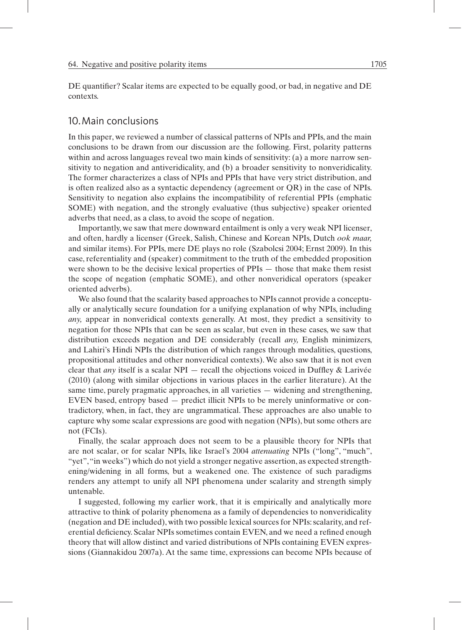DE quantifier? Scalar items are expected to be equally good, or bad, in negative and DE contexts.

## 10. Main conclusions

In this paper, we reviewed a number of classical patterns of NPIs and PPIs, and the main conclusions to be drawn from our discussion are the following. First, polarity patterns within and across languages reveal two main kinds of sensitivity: (a) a more narrow sensitivity to negation and antiveridicality, and (b) a broader sensitivity to nonveridicality. The former characterizes a class of NPIs and PPIs that have very strict distribution, and is often realized also as a syntactic dependency (agreement or QR) in the case of NPIs. Sensitivity to negation also explains the incompatibility of referential PPIs (emphatic SOME) with negation, and the strongly evaluative (thus subjective) speaker oriented adverbs that need, as a class, to avoid the scope of negation.

Importantly, we saw that mere downward entailment is only a very weak NPI licenser, and often, hardly a licenser (Greek, Salish, Chinese and Korean NPIs, Dutch *ook maar,*  and similar items). For PPIs, mere DE plays no role (Szabolcsi 2004; Ernst 2009). In this case, referentiality and (speaker) commitment to the truth of the embedded proposition were shown to be the decisive lexical properties of PPIs — those that make them resist the scope of negation (emphatic SOME), and other nonveridical operators (speaker oriented adverbs).

We also found that the scalarity based approaches to NPIs cannot provide a conceptually or analytically secure foundation for a unifying explanation of why NPIs, including *any,* appear in nonveridical contexts generally. At most, they predict a sensitivity to negation for those NPIs that can be seen as scalar, but even in these cases, we saw that distribution exceeds negation and DE considerably (recall *any,* English minimizers, and Lahiri's Hindi NPIs the distribution of which ranges through modalities, questions, propositional attitudes and other nonveridical contexts). We also saw that it is not even clear that *any* itself is a scalar NPI — recall the objections voiced in Duffley & Larivée (2010) (along with similar objections in various places in the earlier literature). At the same time, purely pragmatic approaches, in all varieties — widening and strengthening, EVEN based, entropy based — predict illicit NPIs to be merely uninformative or contradictory, when, in fact, they are ungrammatical. These approaches are also unable to capture why some scalar expressions are good with negation (NPIs), but some others are not (FCIs).

Finally, the scalar approach does not seem to be a plausible theory for NPIs that are not scalar, or for scalar NPIs, like Israel's 2004 *attenuating* NPIs ("long", "much", "yet", "in weeks") which do not yield a stronger negative assertion, as expected strengthening/widening in all forms, but a weakened one. The existence of such paradigms renders any attempt to unify all NPI phenomena under scalarity and strength simply untenable.

I suggested, following my earlier work, that it is empirically and analytically more attractive to think of polarity phenomena as a family of dependencies to nonveridicality (negation and DE included), with two possible lexical sources for NPIs: scalarity, and referential deficiency. Scalar NPIs sometimes contain EVEN, and we need a refined enough theory that will allow distinct and varied distributions of NPIs containing EVEN expressions (Giannakidou 2007a). At the same time, expressions can become NPIs because of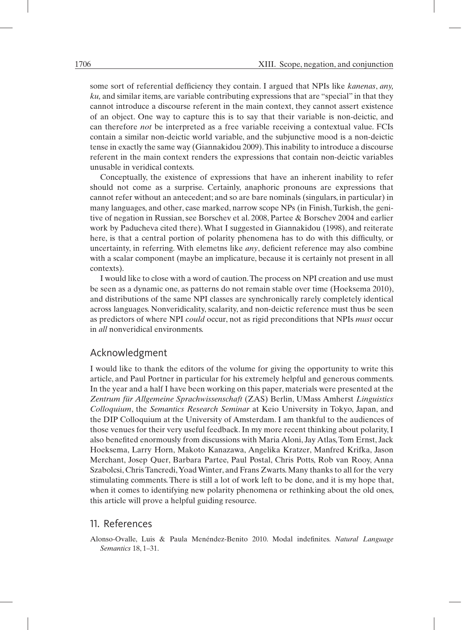some sort of referential defficiency they contain. I argued that NPIs like *kanenas*, *any*, *ku,* and similar items, are variable contributing expressions that are "special" in that they cannot introduce a discourse referent in the main context, they cannot assert existence of an object. One way to capture this is to say that their variable is non-deictic, and can therefore *not* be interpreted as a free variable receiving a contextual value. FCIs contain a similar non-deictic world variable, and the subjunctive mood is a non-deictic tense in exactly the same way (Giannakidou 2009). This inability to introduce a discourse referent in the main context renders the expressions that contain non-deictic variables unusable in veridical contexts.

Conceptually, the existence of expressions that have an inherent inability to refer should not come as a surprise. Certainly, anaphoric pronouns are expressions that cannot refer without an antecedent; and so are bare nominals (singulars, in particular) in many languages, and other, case marked, narrow scope NPs (in Finish, Turkish, the genitive of negation in Russian, see Borschev et al. 2008, Partee & Borschev 2004 and earlier work by Paducheva cited there). What I suggested in Giannakidou (1998), and reiterate here, is that a central portion of polarity phenomena has to do with this difficulty, or uncertainty, in referring. With elemetns like *any*, deficient reference may also combine with a scalar component (maybe an implicature, because it is certainly not present in all contexts).

I would like to close with a word of caution. The process on NPI creation and use must be seen as a dynamic one, as patterns do not remain stable over time (Hoeksema 2010), and distributions of the same NPI classes are synchronically rarely completely identical across languages. Nonveridicality, scalarity, and non-deictic reference must thus be seen as predictors of where NPI *could* occur, not as rigid preconditions that NPIs *must* occur in *all* nonveridical environments.

## Acknowledgment

I would like to thank the editors of the volume for giving the opportunity to write this article, and Paul Portner in particular for his extremely helpful and generous comments. In the year and a half I have been working on this paper, materials were presented at the *Zentrum für Allgemeine Sprachwissenschaft* (ZAS) Berlin, UMass Amherst *Linguistics Colloquium*, the *Semantics Research Seminar* at Keio University in Tokyo, Japan, and the DIP Colloquium at the University of Amsterdam. I am thankful to the audiences of those venues for their very useful feedback. In my more recent thinking about polarity, I also benefited enormously from discussions with Maria Aloni, Jay Atlas, Tom Ernst, Jack Hoeksema, Larry Horn, Makoto Kanazawa, Angelika Kratzer, Manfred Krifka, Jason Merchant, Josep Quer, Barbara Partee, Paul Postal, Chris Potts, Rob van Rooy, Anna Szabolcsi, Chris Tancredi, Yoad Winter, and Frans Zwarts. Many thanks to all for the very stimulating comments. There is still a lot of work left to be done, and it is my hope that, when it comes to identifying new polarity phenomena or rethinking about the old ones, this article will prove a helpful guiding resource.

## 11. References

Alonso-Ovalle, Luis & Paula Menéndez-Benito 2010. Modal indefinites. Natural Language *Semantics* 18, 1–31.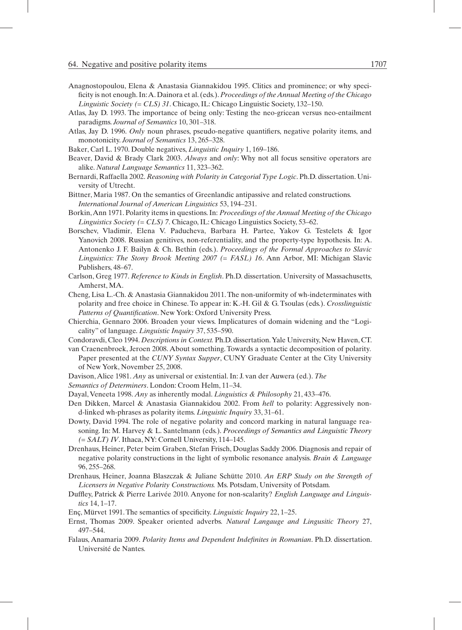- Anagnostopoulou, Elena & Anastasia Giannakidou 1995. Clitics and prominence; or why specificity is not enough. In: A. Dainora et al. (eds.). *Proceedings of the Annual Meeting of the Chicago Linguistic Society (= CLS) 31*. Chicago, IL: Chicago Linguistic Society, 132–150.
- Atlas, Jay D. 1993. The importance of being only: Testing the neo-gricean versus neo-entailment paradigms. *Journal of Semantics* 10, 301–318.
- Atlas, Jay D. 1996. *Only* noun phrases, pseudo-negative quantifiers, negative polarity items, and monotonicity. *Journal of Semantics* 13, 265–328.
- Baker, Carl L. 1970. Double negatives, *Linguistic Inquiry* 1, 169–186.
- Beaver, David & Brady Clark 2003. *Always* and *only*: Why not all focus sensitive operators are alike. *Natural Language Semantics* 11, 323–362.
- Bernardi, Raffaella 2002. *Reasoning with Polarity in Categorial Type Logic*. Ph.D. dissertation. University of Utrecht.
- Bittner, Maria 1987. On the semantics of Greenlandic antipassive and related constructions.  *International Journal of American Linguistics* 53, 194–231.
- Borkin, Ann 1971. Polarity items in questions. In: *Proceedings of the Annual Meeting of the Chicago Linguistics Society (= CLS) 7*. Chicago, IL: Chicago Linguistics Society, 53–62.
- Borschev, Vladimir, Elena V. Paducheva, Barbara H. Partee, Yakov G. Testelets & Igor Yanovich 2008. Russian genitives, non-referentiality, and the property-type hypothesis. In: A. Antonenko J. F. Bailyn & Ch. Bethin (eds.). *Proceedings of the Formal Approaches to Slavic Linguistics: The Stony Brook Meeting 2007 (= FASL) 16*. Ann Arbor, MI: Michigan Slavic Publishers, 48–67.
- Carlson, Greg 1977. *Reference to Kinds in English*. Ph.D. dissertation. University of Massachusetts, Amherst, MA.
- Cheng, Lisa L.-Ch. & Anastasia Giannakidou 2011. The non-uniformity of wh-indeterminates with polarity and free choice in Chinese. To appear in: K.-H. Gil & G. Tsoulas (eds.). *Crosslinguistic*  Patterns of Quantification. New York: Oxford University Press.
- Chierchia, Gennaro 2006. Broaden your views. Implicatures of domain widening and the "Logicality" of language. *Linguistic Inquiry* 37, 535–590.
- Condoravdi, Cleo 1994. *Descriptions in Context.* Ph.D. dissertation. Yale University, New Haven, CT.

van Craenenbroek, Jeroen 2008. About something. Towards a syntactic decomposition of polarity*.* Paper presented at the *CUNY Syntax Supper*, CUNY Graduate Center at the City University of New York, November 25, 2008.

Davison, Alice 1981. *Any* as universal or existential. In: J. van der Auwera (ed.). *The*

*Semantics of Determiners*. London: Croom Helm, 11–34.

- Dayal, Veneeta 1998. *Any* as inherently modal. *Linguistics & Philosophy* 21, 433–476.
- Den Dikken, Marcel & Anastasia Giannakidou 2002. From *hell* to polarity: Aggressively nond-linked wh-phrases as polarity items. *Linguistic Inquiry* 33, 31–61.
- Dowty, David 1994. The role of negative polarity and concord marking in natural language reasoning. In: M. Harvey & L. Santelmann (eds.). *Proceedings of Semantics and Linguistic Theory (= SALT) IV*. Ithaca, NY: Cornell University, 114–145.
- Drenhaus, Heiner, Peter beim Graben, Stefan Frisch, Douglas Saddy 2006. Diagnosis and repair of negative polarity constructions in the light of symbolic resonance analysis. *Brain & Language*  96, 255–268.
- Drenhaus, Heiner, Joanna Blaszczak & Juliane Schütte 2010. *An ERP Study on the Strength of Licensers in Negative Polarity Constructions.* Ms. Potsdam, University of Potsdam*.*
- Duffley, Patrick & Pierre Larivée 2010. Anyone for non-scalarity? *English Language and Linguistics* 14, 1–17.
- Enç, Mürvet 1991. The semantics of specificity. *Linguistic Inquiry* 22, 1–25.
- Ernst, Thomas 2009. Speaker oriented adverbs*. Natural Langauge and Lingusitic Theory* 27, 497–544.
- Falaus, Anamaria 2009. *Polarity Items and Dependent Indefinites in Romanian*. Ph.D. dissertation. Université de Nantes.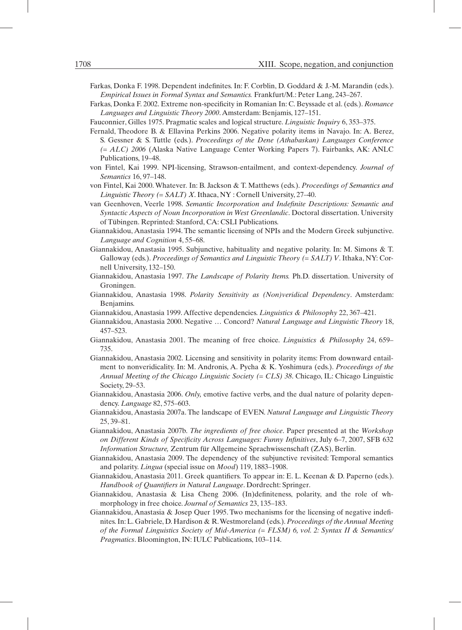- Farkas, Donka F. 1998. Dependent indefinites. In: F. Corblin, D. Goddard & J.-M. Marandin (eds.). *Empirical Issues in Formal Syntax and Semantics.* Frankfurt/M.: Peter Lang, 243–267.
- Farkas, Donka F. 2002. Extreme non-specificity in Romanian In: C. Beyssade et al. (eds.). *Romance Languages and Linguistic Theory 2000*. Amsterdam: Benjamis, 127–151.
- Fauconnier, Gilles 1975. Pragmatic scales and logical structure. *Linguistic Inquiry* 6, 353–375.
- Fernald, Theodore B. & Ellavina Perkins 2006. Negative polarity items in Navajo. In: A. Berez, S. Gessner & S. Tuttle (eds.). *Proceedings of the Dene (Athabaskan) Languages Conference (= ALC) 2006* (Alaska Native Language Center Working Papers 7). Fairbanks, AK: ANLC Publications, 19–48.
- von Fintel, Kai 1999. NPI-licensing, Strawson-entailment, and context-dependency. *Journal of Semantics* 16, 97–148.
- von Fintel, Kai 2000. Whatever*.* In: B. Jackson & T. Matthews (eds.). *Proceedings of Semantics and Linguistic Theory (= SALT) X*. Ithaca, NY : Cornell University, 27–40.
- van Geenhoven, Veerle 1998. Semantic Incorporation and Indefinite Descriptions: Semantic and *Syntactic Aspects of Noun Incorporation in West Greenlandic*. Doctoral dissertation. University of Tübingen. Reprinted: Stanford, CA: CSLI Publications.
- Giannakidou, Anastasia 1994. The semantic licensing of NPIs and the Modern Greek subjunctive. *Language and Cognition* 4, 55–68.
- Giannakidou, Anastasia 1995. Subjunctive, habituality and negative polarity. In: M. Simons & T. Galloway (eds.). *Proceedings of Semantics and Linguistic Theory (= SALT) V*. Ithaka, NY: Cornell University, 132–150.
- Giannakidou, Anastasia 1997. *The Landscape of Polarity Items.* Ph.D. dissertation. University of Groningen.
- Giannakidou, Anastasia 1998. *Polarity Sensitivity as (Non)veridical Dependency*. Amsterdam: Benjamins.
- Giannakidou, Anastasia 1999. Affective dependencies. *Linguistics & Philosophy* 22, 367–421.
- Giannakidou, Anastasia 2000. Negative … Concord? *Natural Language and Linguistic Theory* 18, 457–523.
- Giannakidou, Anastasia 2001. The meaning of free choice. *Linguistics & Philosophy* 24, 659– 735.
- Giannakidou, Anastasia 2002. Licensing and sensitivity in polarity items: From downward entailment to nonveridicality. In: M. Andronis, A. Pycha & K. Yoshimura (eds.). *Proceedings of the Annual Meeting of the Chicago Linguistic Society (= CLS) 38*. Chicago, IL: Chicago Linguistic Society, 29–53.
- Giannakidou, Anastasia 2006. *Only,* emotive factive verbs, and the dual nature of polarity dependency. *Language* 82, 575–603.
- Giannakidou, Anastasia 2007a. The landscape of EVEN. *Natural Language and Linguistic Theory* 25, 39–81.
- Giannakidou, Anastasia 2007b. *The ingredients of free choice*. Paper presented at the *Workshop on Different Kinds of Specificity Across Languages: Funny Infinitives*, July 6-7, 2007, SFB 632 *Information Structure,* Zentrum für Allgemeine Sprachwissenschaft (ZAS), Berlin.
- Giannakidou, Anastasia 2009. The dependency of the subjunctive revisited: Temporal semantics and polarity. *Lingua* (special issue on *Mood*) 119, 1883–1908.
- Giannakidou, Anastasia 2011. Greek quantifiers. To appear in: E. L. Keenan & D. Paperno (eds.). *Handbook of Quantifiers in Natural Language*. Dordrecht: Springer.
- Giannakidou, Anastasia & Lisa Cheng 2006. (In)definiteness, polarity, and the role of whmorphology in free choice. *Journal of Semantics* 23, 135–183.
- Giannakidou, Anastasia & Josep Quer 1995. Two mechanisms for the licensing of negative indefinites. In: L. Gabriele, D. Hardison & R. Westmoreland (eds.). *Proceedings of the Annual Meeting of the Formal Linguistics Society of Mid-America (= FLSM) 6, vol. 2: Syntax II & Semantics/ Pragmatics*. Bloomington, IN: IULC Publications, 103–114.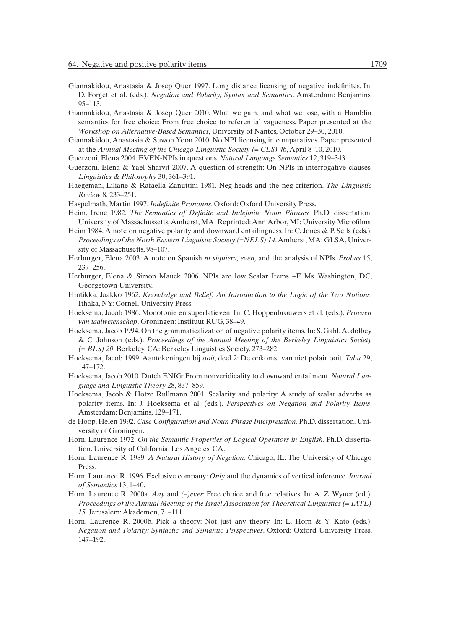- Giannakidou, Anastasia & Josep Quer 1997. Long distance licensing of negative indefinites. In: D. Forget et al. (eds.). *Negation and Polarity, Syntax and Semantics*. Amsterdam: Benjamins. 95–113.
- Giannakidou, Anastasia & Josep Quer 2010. What we gain, and what we lose, with a Hamblin semantics for free choice: From free choice to referential vagueness. Paper presented at the *Workshop on Alternative-Based Semantics*, University of Nantes, October 29–30, 2010.
- Giannakidou, Anastasia & Suwon Yoon 2010. No NPI licensing in comparatives. Paper presented at the *Annual Meeting of the Chicago Linguistic Society (= CLS) 46*, April 8–10, 2010.
- Guerzoni, Elena 2004. EVEN-NPIs in questions. *Natural Language Semantics* 12, 319–343.
- Guerzoni, Elena & Yael Sharvit 2007. A question of strength: On NPIs in interrogative clauses. *Linguistics & Philosophy* 30, 361–391.
- Haegeman, Liliane & Rafaella Zanuttini 1981. Neg-heads and the neg-criterion. *The Linguistic Review* 8, 233–251.
- Haspelmath, Martin 1997. *Indefinite Pronouns*. Oxford: Oxford University Press.
- Heim, Irene 1982. The Semantics of Definite and Indefinite Noun Phrases. Ph.D. dissertation. University of Massachussetts, Amherst, MA. Reprinted: Ann Arbor, MI: University Microfilms.
- Heim 1984. A note on negative polarity and downward entailingness. In: C. Jones & P. Sells (eds.). *Proceedings of the North Eastern Linguistic Society (=NELS) 14*. Amherst, MA: GLSA, University of Massachusetts, 98–107.
- Herburger, Elena 2003. A note on Spanish *ni siquiera, even,* and the analysis of NPIs. *Probus* 15, 237–256.
- Herburger, Elena & Simon Mauck 2006. NPIs are low Scalar Items +F. Ms. Washington, DC, Georgetown University.
- Hintikka, Jaakko 1962. *Knowledge and Belief: An Introduction to the Logic of the Two Notions*. Ithaka, NY: Cornell University Press.
- Hoeksema, Jacob 1986. Monotonie en superlatieven. In: C. Hoppenbrouwers et al. (eds.). *Proeven van taalwetenschap*. Groningen: Instituut RUG, 38–49.
- Hoeksema, Jacob 1994. On the grammaticalization of negative polarity items. In: S. Gahl, A. dolbey & C. Johnson (eds.). *Proceedings of the Annual Meeting of the Berkeley Linguistics Society (= BLS) 20*. Berkeley, CA: Berkeley Linguistics Society, 273–282.
- Hoeksema, Jacob 1999. Aantekeningen bij *ooit*, deel 2: De opkomst van niet polair ooit. *Tabu* 29, 147–172.
- Hoeksema, Jacob 2010. Dutch ENIG: From nonveridicality to downward entailment. *Natural Language and Linguistic Theory* 28, 837–859.
- Hoeksema, Jacob & Hotze Rullmann 2001. Scalarity and polarity: A study of scalar adverbs as polarity items. In: J. Hoeksema et al. (eds.). *Perspectives on Negation and Polarity Items*. Amsterdam: Benjamins, 129–171.
- de Hoop, Helen 1992. *Case Configuration and Noun Phrase Interpretation*. Ph.D. dissertation. University of Groningen.
- Horn, Laurence 1972. *On the Semantic Properties of Logical Operators in English*. Ph.D. dissertation. University of California, Los Angeles, CA.
- Horn, Laurence R. 1989. *A Natural History of Negation*. Chicago, IL: The University of Chicago Press.
- Horn, Laurence R. 1996. Exclusive company: *Only* and the dynamics of vertical inference. *Journal of Semantics* 13, 1–40.
- Horn, Laurence R. 2000a. *Any* and *(–)ever*: Free choice and free relatives. In: A. Z. Wyner (ed.). *Proceedings of the Annual Meeting of the Israel Association for Theoretical Linguistics (= IATL) 15*. Jerusalem: Akademon, 71–111.
- Horn, Laurence R. 2000b. Pick a theory: Not just any theory. In: L. Horn & Y. Kato (eds.). *Negation and Polarity: Syntactic and Semantic Perspectives*. Oxford: Oxford University Press, 147–192.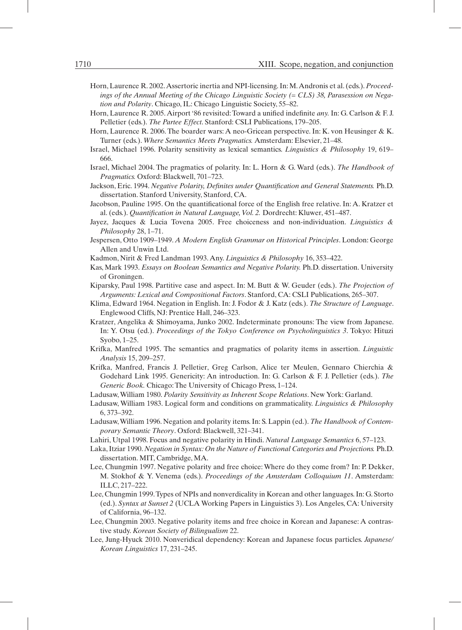- Horn, Laurence R. 2002. Assertoric inertia and NPI-licensing. In: M. Andronis et al. (eds.). *Proceedings of the Annual Meeting of the Chicago Linguistic Society (= CLS) 38, Parasession on Negation and Polarity*. Chicago, IL: Chicago Linguistic Society, 55–82.
- Horn, Laurence R. 2005. Airport '86 revisited: Toward a unified indefinite *any*. In: G. Carlson & F. J. Pelletier (eds.). *The Partee Effect*. Stanford: CSLI Publications, 179–205.
- Horn, Laurence R. 2006. The boarder wars: A neo-Gricean perspective. In: K. von Heusinger & K. Turner (eds.). *Where Semantics Meets Pragmatics.* Amsterdam: Elsevier, 21–48.
- Israel, Michael 1996. Polarity sensitivity as lexical semantics. *Linguistics & Philosophy* 19, 619– 666.
- Israel, Michael 2004. The pragmatics of polarity. In: L. Horn & G. Ward (eds.). *The Handbook of Pragmatics.* Oxford: Blackwell, 701–723.

Jackson, Eric. 1994. *Negative Polarity, Definites under Quantification and General Statements.* Ph.D. dissertation. Stanford University, Stanford, CA.

- Jacobson, Pauline 1995. On the quantificational force of the English free relative. In: A. Kratzer et al. (eds.). *Quantification in Natural Language, Vol. 2.* Dordrecht: Kluwer, 451–487.
- Jayez, Jacques & Lucia Tovena 2005. Free choiceness and non-individuation. *Linguistics & Philosophy* 28, 1–71.
- Jespersen, Otto 1909–1949. *A Modern English Grammar on Historical Principles*. London: George Allen and Unwin Ltd.

Kadmon, Nirit & Fred Landman 1993. Any. *Linguistics & Philosophy* 16, 353–422.

- Kas, Mark 1993. *Essays on Boolean Semantics and Negative Polarity.* Ph.D. dissertation. University of Groningen.
- Kiparsky, Paul 1998. Partitive case and aspect. In: M. Butt & W. Geuder (eds.). *The Projection of Arguments: Lexical and Compositional Factors*. Stanford, CA: CSLI Publications, 265–307.
- Klima, Edward 1964. Negation in English. In: J. Fodor & J. Katz (eds.). *The Structure of Language*. Englewood Cliffs, NJ: Prentice Hall, 246–323.
- Kratzer, Angelika & Shimoyama, Junko 2002. Indeterminate pronouns: The view from Japanese. In: Y. Otsu (ed.). *Proceedings of the Tokyo Conference on Psycholinguistics 3*. Tokyo: Hituzi Syobo, 1–25.
- Krifka, Manfred 1995. The semantics and pragmatics of polarity items in assertion. *Linguistic Analysis* 15, 209–257.
- Krifka, Manfred, Francis J. Pelletier, Greg Carlson, Alice ter Meulen, Gennaro Chierchia & Godehard Link 1995. Genericity: An introduction. In: G. Carlson & F. J. Pelletier (eds.). *The Generic Book.* Chicago: The University of Chicago Press, 1–124.
- Ladusaw, William 1980. *Polarity Sensitivity as Inherent Scope Relations*. New York: Garland.
- Ladusaw, William 1983. Logical form and conditions on grammaticality. *Linguistics & Philosophy*  6, 373–392.
- Ladusaw, William 1996. Negation and polarity items. In: S. Lappin (ed.). *The Handbook of Contemporary Semantic Theory*. Oxford: Blackwell, 321–341.
- Lahiri, Utpal 1998. Focus and negative polarity in Hindi. *Natural Language Semantics* 6, 57–123.
- Laka, Itziar 1990. *Negation in Syntax: On the Nature of Functional Categories and Projections.* Ph.D. dissertation. MIT, Cambridge, MA.
- Lee, Chungmin 1997. Negative polarity and free choice: Where do they come from? In: P. Dekker, M. Stokhof & Y. Venema (eds.). *Proceedings of the Amsterdam Colloquium 11*. Amsterdam: ILLC, 217–222.
- Lee, Chungmin 1999. Types of NPIs and nonverdicality in Korean and other languages. In: G. Storto (ed.). *Syntax at Sunset 2* (UCLA Working Papers in Linguistics 3). Los Angeles, CA: University of California, 96–132.
- Lee, Chungmin 2003. Negative polarity items and free choice in Korean and Japanese: A contrastive study. *Korean Society of Bilingualism* 22.
- Lee, Jung-Hyuck 2010. Nonveridical dependency: Korean and Japanese focus particles. *Japanese/ Korean Linguistics* 17, 231–245.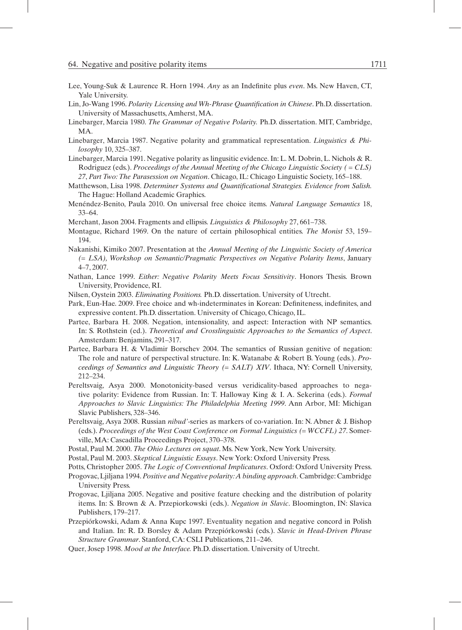- Lee, Young-Suk & Laurence R. Horn 1994. *Any* as an Indefinite plus *even*. Ms. New Haven, CT, Yale University.
- Lin, Jo-Wang 1996. *Polarity Licensing and Wh-Phrase Quantification in Chinese*. Ph.D. dissertation. University of Massachusetts, Amherst, MA.
- Linebarger, Marcia 1980. *The Grammar of Negative Polarity.* Ph.D. dissertation. MIT, Cambridge, MA.
- Linebarger, Marcia 1987. Negative polarity and grammatical representation. *Linguistics & Philosophy* 10, 325–387.
- Linebarger, Marcia 1991. Negative polarity as lingusitic evidence. In: L. M. Dobrin, L. Nichols & R. Rodriguez (eds.). *Proceedings of the Annual Meeting of the Chicago Linguistic Society ( = CLS) 27*, *Part Two: The Parasession on Negation*. Chicago, IL: Chicago Linguistic Society, 165–188.
- Matthewson, Lisa 1998. *Determiner Systems and Quantificational Strategies. Evidence from Salish.* The Hague: Holland Academic Graphics.
- Menéndez-Benito, Paula 2010. On universal free choice items. *Natural Language Semantics* 18, 33–64.
- Merchant, Jason 2004. Fragments and ellipsis. *Linguistics & Philosophy* 27, 661–738.
- Montague, Richard 1969. On the nature of certain philosophical entities. *The Monist* 53, 159– 194.
- Nakanishi, Kimiko 2007. Presentation at the *Annual Meeting of the Linguistic Society of America (= LSA), Workshop on Semantic/Pragmatic Perspectives on Negative Polarity Items*, January 4–7, 2007.
- Nathan, Lance 1999. *Either: Negative Polarity Meets Focus Sensitivity*. Honors Thesis. Brown University, Providence, RI.
- Nilsen, Oystein 2003. *Eliminating Positions.* Ph.D. dissertation. University of Utrecht.
- Park, Eun-Hae. 2009. Free choice and wh-indeterminates in Korean: Definiteness, indefinites, and expressive content. Ph.D. dissertation. University of Chicago, Chicago, IL.
- Partee, Barbara H. 2008. Negation, intensionality, and aspect: Interaction with NP semantics. In: S. Rothstein (ed.). *Theoretical and Crosslinguistic Approaches to the Semantics of Aspect*. Amsterdam: Benjamins, 291–317.
- Partee, Barbara H. & Vladimir Borschev 2004. The semantics of Russian genitive of negation: The role and nature of perspectival structure. In: K. Watanabe & Robert B. Young (eds.). *Proceedings of Semantics and Linguistic Theory (= SALT) XIV*. Ithaca, NY: Cornell University, 212–234.
- Pereltsvaig, Asya 2000. Monotonicity-based versus veridicality-based approaches to negative polarity: Evidence from Russian. In: T. Halloway King & I. A. Sekerina (eds.). *Formal Approaches to Slavic Linguistics: The Philadelphia Meeting 1999*. Ann Arbor, MI: Michigan Slavic Publishers, 328–346.
- Pereltsvaig, Asya 2008. Russian *nibud'*-series as markers of co-variation. In: N. Abner & J. Bishop (eds.). *Proceedings of the West Coast Conference on Formal Linguistics (= WCCFL) 27*. Somerville, MA: Cascadilla Proceedings Project, 370–378.
- Postal, Paul M. 2000. *The Ohio Lectures on squat*. Ms. New York, New York University.
- Postal, Paul M. 2003. *Skeptical Linguistic Essays*. New York: Oxford University Press.
- Potts, Christopher 2005. *The Logic of Conventional Implicatures*. Oxford: Oxford University Press. Progovac, Ljiljana 1994. *Positive and Negative polarity: A binding approach*. Cambridge: Cambridge
- University Press.
- Progovac, Ljiljana 2005. Negative and positive feature checking and the distribution of polarity items. In: S. Brown & A. Przepiorkowski (eds.). *Negation in Slavic*. Bloomington, IN: Slavica Publishers, 179–217.
- Przepiórkowski, Adam & Anna Kupc 1997. Eventuality negation and negative concord in Polish and Italian. In: R. D. Borsley & Adam Przepiórkowski (eds.). *Slavic in Head-Driven Phrase Structure Grammar*. Stanford, CA: CSLI Publications, 211–246.
- Quer, Josep 1998. *Mood at the Interface.* Ph.D. dissertation. University of Utrecht.